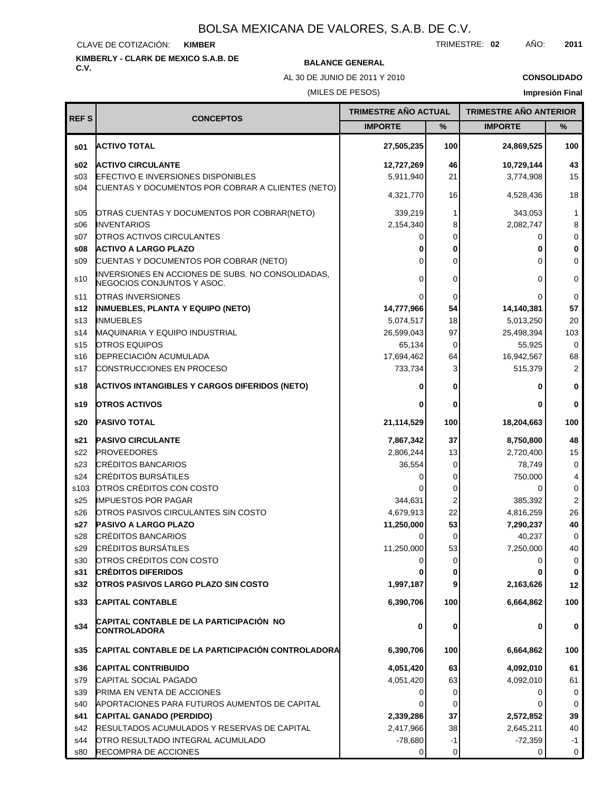#### CLAVE DE COTIZACIÓN: **KIMBER**

# **KIMBERLY - CLARK DE MEXICO S.A.B. DE**

TRIMESTRE: **02** AÑO: **2011**

**TRIMESTRE AÑO ACTUAL TRIMESTRE AÑO ANTERIOR**

**BALANCE GENERAL** 

AL 30 DE JUNIO DE 2011 Y 2010

## **CONSOLIDADO Impresión Final**

(MILES DE PESOS)

| <b>REFS</b>     | <b>CONCEPTOS</b>                                                                |                |          |                |                |
|-----------------|---------------------------------------------------------------------------------|----------------|----------|----------------|----------------|
|                 |                                                                                 | <b>IMPORTE</b> | %        | <b>IMPORTE</b> | %              |
| s01             | <b>ACTIVO TOTAL</b>                                                             | 27,505,235     | 100      | 24,869,525     | 100            |
| \$02            | <b>ACTIVO CIRCULANTE</b>                                                        | 12,727,269     | 46       | 10,729,144     | 43             |
| s <sub>03</sub> | <b>EFECTIVO E INVERSIONES DISPONIBLES</b>                                       | 5,911,940      | 21       | 3,774,908      | 15             |
| s04             | CUENTAS Y DOCUMENTOS POR COBRAR A CLIENTES (NETO)                               | 4,321,770      | 16       | 4,528,436      | 18             |
| \$05            | OTRAS CUENTAS Y DOCUMENTOS POR COBRAR(NETO)                                     | 339,219        | 1        | 343,053        | 1              |
| \$06            | <b>INVENTARIOS</b>                                                              | 2,154,340      | 8        | 2,082,747      | 8              |
| S <sub>07</sub> | <b>OTROS ACTIVOS CIRCULANTES</b>                                                | 0              | 0        | 0              | 0              |
| \$08            | <b>ACTIVO A LARGO PLAZO</b>                                                     |                | 0        | 0              | 0              |
| \$09            | CUENTAS Y DOCUMENTOS POR COBRAR (NETO)                                          | ი              | 0        | 0              | $\mathbf 0$    |
| s10             | INVERSIONES EN ACCIONES DE SUBS. NO CONSOLIDADAS,<br>NEGOCIOS CONJUNTOS Y ASOC. | 0              | 0        | $\Omega$       | 0              |
| s11             | <b>OTRAS INVERSIONES</b>                                                        | 0              | 0        | 0              | 0              |
| s12             | <b>INMUEBLES, PLANTA Y EQUIPO (NETO)</b>                                        | 14,777,966     | 54       | 14,140,381     | 57             |
| s <sub>13</sub> | <b>INMUEBLES</b>                                                                | 5,074,517      | 18       | 5,013,250      | 20             |
| s14             | MAQUINARIA Y EQUIPO INDUSTRIAL                                                  | 26,599,043     | 97       | 25,498,394     | 103            |
| s <sub>15</sub> | <b>OTROS EQUIPOS</b>                                                            | 65,134         | 0        | 55,925         | $\mathbf 0$    |
| s16             | <b>DEPRECIACIÓN ACUMULADA</b>                                                   | 17,694,462     | 64       | 16,942,567     | 68             |
| s17             | <b>CONSTRUCCIONES EN PROCESO</b>                                                | 733,734        | 3        | 515,379        | $\overline{2}$ |
| s18             | <b>ACTIVOS INTANGIBLES Y CARGOS DIFERIDOS (NETO)</b>                            |                |          | 0              | $\bf{0}$       |
| s19             | <b>OTROS ACTIVOS</b>                                                            |                | 0        | 0              | 0              |
| s20             | <b>PASIVO TOTAL</b>                                                             | 21,114,529     | 100      | 18,204,663     | 100            |
| s21             | <b>PASIVO CIRCULANTE</b>                                                        | 7,867,342      | 37       | 8,750,800      | 48             |
| s22             | <b>PROVEEDORES</b>                                                              | 2,806,244      | 13       | 2,720,400      | 15             |
| s23             | <b>CRÉDITOS BANCARIOS</b>                                                       | 36,554         | 0        | 78,749         | 0              |
| s24             | <b>CRÉDITOS BURSÁTILES</b>                                                      | 0              | 0        | 750,000        | 4              |
| s103            | OTROS CRÉDITOS CON COSTO                                                        |                | 0        | 0              | 0              |
| s25             | <b>IMPUESTOS POR PAGAR</b>                                                      | 344,631        | 2        | 385,392        | $\overline{2}$ |
| s26             | OTROS PASIVOS CIRCULANTES SIN COSTO                                             | 4,679,913      | 22       | 4,816,259      | 26             |
| s27             | <b>PASIVO A LARGO PLAZO</b>                                                     | 11,250,000     | 53       | 7,290,237      | 40             |
| s28             | <b>CRÉDITOS BANCARIOS</b>                                                       | Ω              | 0        | 40,237         | $\mathbf 0$    |
| s29             | <b>CRÉDITOS BURSÁTILES</b>                                                      | 11,250,000     | 53       | 7,250,000      | 40             |
| s30             | OTROS CRÉDITOS CON COSTO                                                        | 0              | $\Omega$ | 0              | 0              |
| s31             | <b>CRÉDITOS DIFERIDOS</b>                                                       | 0              | 0        | 0              | 0              |
| s32             | <b>OTROS PASIVOS LARGO PLAZO SIN COSTO</b>                                      | 1,997,187      | 9        | 2,163,626      | 12             |
| s33             | <b>CAPITAL CONTABLE</b>                                                         | 6,390,706      | 100      | 6,664,862      | 100            |
| s34             | CAPITAL CONTABLE DE LA PARTICIPACIÓN NO<br>CONTROLADORA                         | 0              | 0        | 0              | 0              |
| s35             | CAPITAL CONTABLE DE LA PARTICIPACIÓN CONTROLADORA                               | 6,390,706      | 100      | 6,664,862      | 100            |
| s36             | <b>CAPITAL CONTRIBUIDO</b>                                                      | 4,051,420      | 63       | 4,092,010      | 61             |
| s79             | <b>CAPITAL SOCIAL PAGADO</b>                                                    | 4,051,420      | 63       | 4,092,010      | 61             |
| s39             | <b>PRIMA EN VENTA DE ACCIONES</b>                                               | 0              | 0        | 0              | 0              |
| s40             | APORTACIONES PARA FUTUROS AUMENTOS DE CAPITAL                                   | 0              | 0        | 0              | 0              |
| s41             | CAPITAL GANADO (PERDIDO)                                                        | 2,339,286      | 37       | 2,572,852      | 39             |
| s42             | <b>RESULTADOS ACUMULADOS Y RESERVAS DE CAPITAL</b>                              | 2,417,966      | 38       | 2,645,211      | 40             |
| s44             | OTRO RESULTADO INTEGRAL ACUMULADO                                               | $-78,680$      | -1       | $-72,359$      | $-1$           |
| s80             | RECOMPRA DE ACCIONES                                                            | 0              | 0        | 0              | 0              |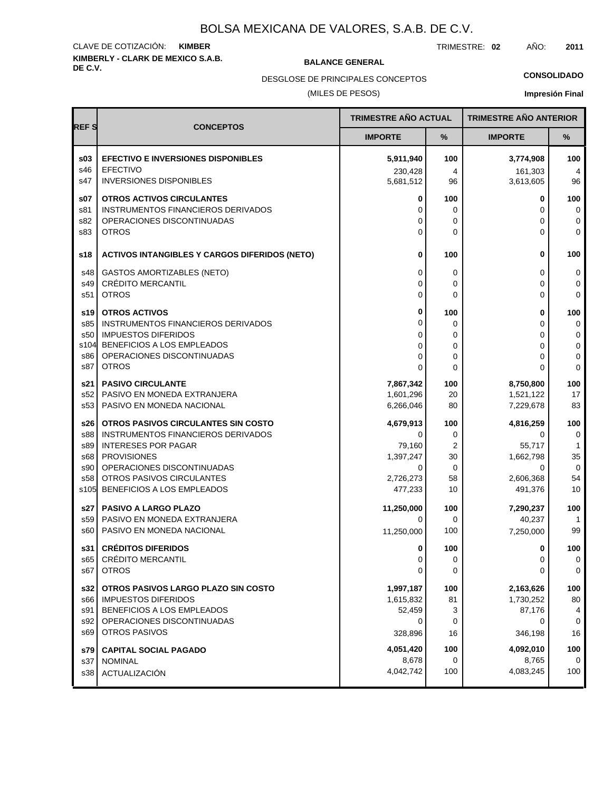## **KIMBERLY - CLARK DE MEXICO S.A.B.** CLAVE DE COTIZACIÓN: **KIMBER**

**BALANCE GENERAL** 

TRIMESTRE: **02** AÑO: **2011**

DESGLOSE DE PRINCIPALES CONCEPTOS

## **CONSOLIDADO**

(MILES DE PESOS)

|  | <b>Impresión Final</b> |
|--|------------------------|
|  |                        |

|                                   |                                                                                                                                                  | TRIMESTRE AÑO ACTUAL                    |                             | <b>TRIMESTRE AÑO ANTERIOR</b>              |                       |
|-----------------------------------|--------------------------------------------------------------------------------------------------------------------------------------------------|-----------------------------------------|-----------------------------|--------------------------------------------|-----------------------|
| <b>REFS</b>                       | <b>CONCEPTOS</b>                                                                                                                                 | <b>IMPORTE</b>                          | %                           | <b>IMPORTE</b>                             | %                     |
| \$03                              | <b>EFECTIVO E INVERSIONES DISPONIBLES</b>                                                                                                        | 5,911,940                               | 100                         | 3,774,908                                  | 100                   |
| s46                               | <b>EFECTIVO</b>                                                                                                                                  | 230,428                                 | 4                           | 161,303                                    | 4                     |
| s47                               | <b>INVERSIONES DISPONIBLES</b>                                                                                                                   | 5,681,512                               | 96                          | 3,613,605                                  | 96                    |
| \$07                              | <b>OTROS ACTIVOS CIRCULANTES</b>                                                                                                                 | 0                                       | 100                         | 0                                          | 100                   |
| s81                               | <b>INSTRUMENTOS FINANCIEROS DERIVADOS</b>                                                                                                        | 0                                       | $\Omega$                    | $\Omega$                                   | 0                     |
| s82                               | OPERACIONES DISCONTINUADAS                                                                                                                       | 0                                       | 0                           | 0                                          | 0                     |
| s83                               | <b>OTROS</b>                                                                                                                                     | 0                                       | $\Omega$                    | 0                                          | $\Omega$              |
| s18                               | <b>ACTIVOS INTANGIBLES Y CARGOS DIFERIDOS (NETO)</b>                                                                                             | 0                                       | 100                         | $\bf{0}$                                   | 100                   |
| s48                               | <b>GASTOS AMORTIZABLES (NETO)</b>                                                                                                                | 0                                       | 0                           | 0                                          | 0                     |
| s49                               | <b>CRÉDITO MERCANTIL</b>                                                                                                                         | 0                                       | 0                           | $\Omega$                                   | 0                     |
| s51                               | <b>OTROS</b>                                                                                                                                     | $\Omega$                                | $\Omega$                    | $\Omega$                                   | $\mathbf 0$           |
| s19                               | <b>OTROS ACTIVOS</b>                                                                                                                             | 0                                       | 100                         | $\bf{0}$                                   | 100                   |
| s85                               | <b>INSTRUMENTOS FINANCIEROS DERIVADOS</b>                                                                                                        | $\Omega$                                | 0                           | $\Omega$                                   | 0                     |
| s50                               | <b>IMPUESTOS DIFERIDOS</b>                                                                                                                       | 0                                       | 0                           | $\Omega$                                   | 0                     |
| s104                              | BENEFICIOS A LOS EMPLEADOS                                                                                                                       | 0                                       | 0                           | 0                                          | $\pmb{0}$             |
| s86                               | OPERACIONES DISCONTINUADAS                                                                                                                       | 0                                       | $\mathbf 0$                 | $\Omega$                                   | 0                     |
| s87                               | <b>OTROS</b>                                                                                                                                     | 0                                       | 0                           | $\Omega$                                   | 0                     |
| s21                               | <b>PASIVO CIRCULANTE</b>                                                                                                                         | 7,867,342                               | 100                         | 8,750,800                                  | 100                   |
| s52                               | PASIVO EN MONEDA EXTRANJERA                                                                                                                      | 1,601,296                               | 20                          | 1,521,122                                  | 17                    |
| s53                               | PASIVO EN MONEDA NACIONAL                                                                                                                        | 6,266,046                               | 80                          | 7,229,678                                  | 83                    |
| s26 l                             | OTROS PASIVOS CIRCULANTES SIN COSTO                                                                                                              | 4,679,913                               | 100                         | 4,816,259                                  | 100                   |
| s88                               | INSTRUMENTOS FINANCIEROS DERIVADOS                                                                                                               | 0                                       | 0                           | 0                                          | $\mathbf 0$           |
| s89                               | <b>INTERESES POR PAGAR</b>                                                                                                                       | 79,160                                  | $\overline{2}$              | 55,717                                     | $\mathbf{1}$          |
| s68                               | <b>PROVISIONES</b>                                                                                                                               | 1,397,247                               | 30                          | 1,662,798                                  | 35                    |
| s90                               | OPERACIONES DISCONTINUADAS                                                                                                                       | 0                                       | 0                           | $\Omega$                                   | $\mathbf 0$           |
| s58                               | OTROS PASIVOS CIRCULANTES                                                                                                                        | 2,726,273                               | 58                          | 2,606,368                                  | 54                    |
| s105                              | BENEFICIOS A LOS EMPLEADOS                                                                                                                       | 477,233                                 | 10                          | 491,376                                    | 10                    |
| s27 l<br>s59<br>s60<br>s31<br>s65 | <b>PASIVO A LARGO PLAZO</b><br>PASIVO EN MONEDA EXTRANJERA<br>PASIVO EN MONEDA NACIONAL<br><b>CRÉDITOS DIFERIDOS</b><br><b>CRÉDITO MERCANTIL</b> | 11,250,000<br>0<br>11,250,000<br>0<br>0 | 100<br>0<br>100<br>100<br>0 | 7,290,237<br>40,237<br>7,250,000<br>0<br>0 | 100<br>99<br>100<br>0 |
| s67                               | <b>OTROS</b>                                                                                                                                     | 0                                       | 0                           | $\Omega$                                   | 0                     |
| s32                               | OTROS PASIVOS LARGO PLAZO SIN COSTO                                                                                                              | 1,997,187                               | 100                         | 2,163,626                                  | 100                   |
| s66                               | <b>IMPUESTOS DIFERIDOS</b>                                                                                                                       | 1,615,832                               | 81                          | 1,730,252                                  | 80                    |
| s91                               | BENEFICIOS A LOS EMPLEADOS                                                                                                                       | 52,459                                  | 3                           | 87,176                                     | 4                     |
| s92                               | OPERACIONES DISCONTINUADAS                                                                                                                       | 0                                       | 0                           | 0                                          | 0                     |
| s69                               | OTROS PASIVOS                                                                                                                                    | 328,896                                 | 16                          | 346,198                                    | 16                    |
| s79 l                             | <b>CAPITAL SOCIAL PAGADO</b>                                                                                                                     | 4,051,420                               | 100                         | 4,092,010                                  | 100                   |
| s37                               | <b>NOMINAL</b>                                                                                                                                   | 8,678                                   | 0                           | 8,765                                      | 0                     |
| s38                               | ACTUALIZACIÓN                                                                                                                                    | 4,042,742                               | 100                         | 4,083,245                                  | 100                   |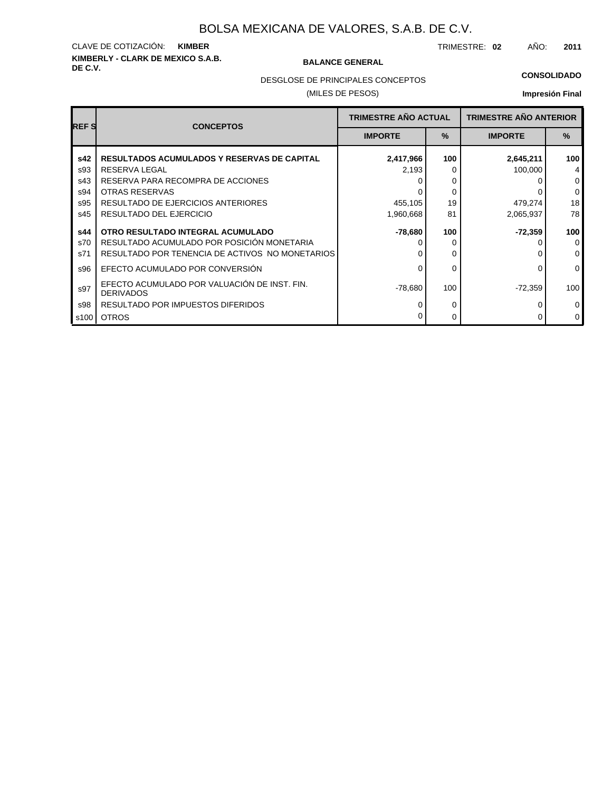## **KIMBERLY - CLARK DE MEXICO S.A.B.** CLAVE DE COTIZACIÓN: **KIMBER**

#### **BALANCE GENERAL**

TRIMESTRE: **02** AÑO: **2011**

#### **CONSOLIDADO**

DESGLOSE DE PRINCIPALES CONCEPTOS

#### (MILES DE PESOS)

| <b>REFS</b>       | <b>CONCEPTOS</b>                                                                              | <b>TRIMESTRE AÑO ACTUAL</b> |               | <b>TRIMESTRE AÑO ANTERIOR</b> |                          |
|-------------------|-----------------------------------------------------------------------------------------------|-----------------------------|---------------|-------------------------------|--------------------------|
|                   |                                                                                               | <b>IMPORTE</b>              | $\frac{9}{6}$ | <b>IMPORTE</b>                | $\%$                     |
| s42               | <b>RESULTADOS ACUMULADOS Y RESERVAS DE CAPITAL</b>                                            | 2,417,966                   | 100           | 2,645,211                     | 100                      |
| s93<br>s43        | <b>RESERVA LEGAL</b><br>RESERVA PARA RECOMPRA DE ACCIONES<br>OTRAS RESERVAS                   | 2,193                       | 0<br>0        | 100,000                       | 4<br>$\mathbf{0}$        |
| s94<br>s95<br>s45 | RESULTADO DE EJERCICIOS ANTERIORES<br>RESULTADO DEL EJERCICIO                                 | 455,105<br>1,960,668        | 0<br>19<br>81 | 479,274<br>2,065,937          | $\mathbf 0$<br>18<br>78  |
| s44               | OTRO RESULTADO INTEGRAL ACUMULADO                                                             | -78,680                     | 100           | $-72,359$                     | 100                      |
| s70<br>s71        | RESULTADO ACUMULADO POR POSICIÓN MONETARIA<br>RESULTADO POR TENENCIA DE ACTIVOS NO MONETARIOS |                             | 0             |                               | $\Omega$<br>$\mathbf{0}$ |
| s96               | EFECTO ACUMULADO POR CONVERSIÓN                                                               | U                           | 0             |                               | $\mathbf{0}$             |
| s97               | EFECTO ACUMULADO POR VALUACIÓN DE INST. FIN.<br><b>DERIVADOS</b>                              | $-78,680$                   | 100           | $-72,359$                     | 100                      |
| s98               | RESULTADO POR IMPUESTOS DIFERIDOS                                                             |                             | 0             |                               | $\mathbf{0}$             |
| s100              | <b>OTROS</b>                                                                                  |                             | 0             |                               | $\mathbf{0}$             |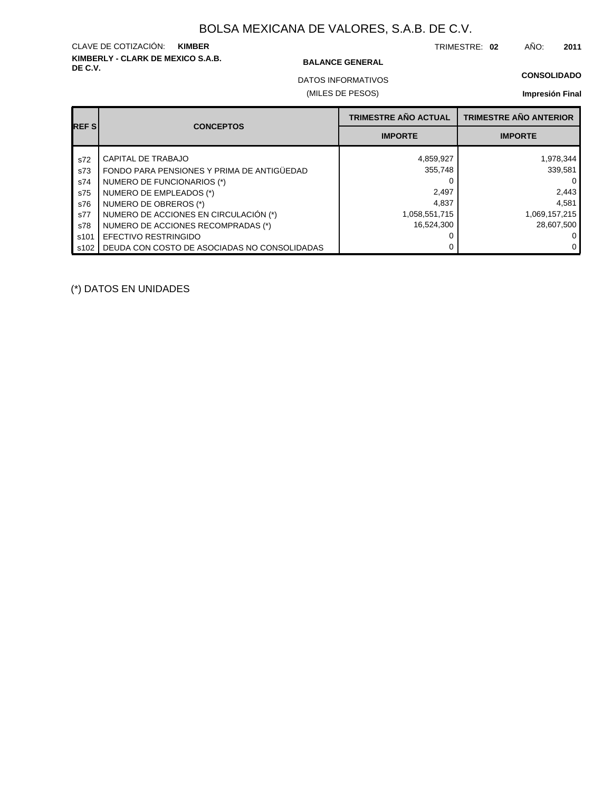## **KIMBERLY - CLARK DE MEXICO S.A.B.** CLAVE DE COTIZACIÓN: **KIMBER**

#### **BALANCE GENERAL**

TRIMESTRE: **02** AÑO: **2011**

#### **CONSOLIDADO**

(MILES DE PESOS) DATOS INFORMATIVOS

#### **Impresión Final**

| <b>REFSI</b> | <b>CONCEPTOS</b>                             | <b>TRIMESTRE AÑO ACTUAL</b> | <b>TRIMESTRE AÑO ANTERIOR</b> |
|--------------|----------------------------------------------|-----------------------------|-------------------------------|
|              |                                              | <b>IMPORTE</b>              | <b>IMPORTE</b>                |
| s72          | CAPITAL DE TRABAJO                           | 4,859,927                   | 1,978,344                     |
| s73          | FONDO PARA PENSIONES Y PRIMA DE ANTIGÜEDAD   | 355,748                     | 339,581                       |
| s74          | NUMERO DE FUNCIONARIOS (*)                   |                             | $\Omega$                      |
| s75          | NUMERO DE EMPLEADOS (*)                      | 2,497                       | 2,443                         |
| s76          | NUMERO DE OBREROS (*)                        | 4.837                       | 4.581                         |
| s77          | NUMERO DE ACCIONES EN CIRCULACIÓN (*)        | 1,058,551,715               | 1,069,157,215                 |
| s78          | NUMERO DE ACCIONES RECOMPRADAS (*)           | 16,524,300                  | 28,607,500                    |
| s101         | EFECTIVO RESTRINGIDO                         |                             | 0                             |
| s102         | DEUDA CON COSTO DE ASOCIADAS NO CONSOLIDADAS |                             | $\mathbf{0}$                  |

(\*) DATOS EN UNIDADES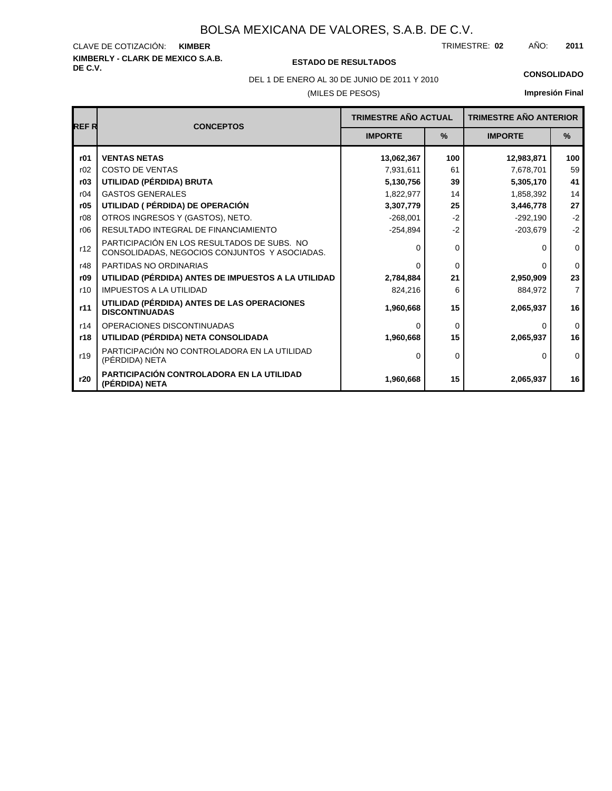#### **KIMBERLY - CLARK DE MEXICO S.A.B.** CLAVE DE COTIZACIÓN: TRIMESTRE: AÑO: **KIMBER 02 2011**

### **DE C.V. ESTADO DE RESULTADOS**

DEL 1 DE ENERO AL 30 DE JUNIO DE 2011 Y 2010 **CONSOLIDADO**

#### (MILES DE PESOS)

| <b>REFR</b> | <b>CONCEPTOS</b>                                                                             | <b>TRIMESTRE AÑO ACTUAL</b> |               | <b>TRIMESTRE AÑO ANTERIOR</b> |                |
|-------------|----------------------------------------------------------------------------------------------|-----------------------------|---------------|-------------------------------|----------------|
|             |                                                                                              | <b>IMPORTE</b>              | $\frac{9}{6}$ | <b>IMPORTE</b>                | $\%$           |
| r01         | <b>VENTAS NETAS</b>                                                                          | 13,062,367                  | 100           | 12,983,871                    | 100            |
| r02         | <b>COSTO DE VENTAS</b>                                                                       | 7,931,611                   | 61            | 7,678,701                     | 59             |
| r03         | UTILIDAD (PÉRDIDA) BRUTA                                                                     | 5,130,756                   | 39            | 5,305,170                     | 41             |
| r04         | <b>GASTOS GENERALES</b>                                                                      | 1,822,977                   | 14            | 1,858,392                     | 14             |
| r05         | UTILIDAD ( PÉRDIDA) DE OPERACIÓN                                                             | 3,307,779                   | 25            | 3,446,778                     | 27             |
| r08         | OTROS INGRESOS Y (GASTOS), NETO.                                                             | $-268,001$                  | $-2$          | $-292,190$                    | $-2$           |
| r06         | RESULTADO INTEGRAL DE FINANCIAMIENTO                                                         | $-254,894$                  | $-2$          | $-203,679$                    | $-2$           |
| r12         | PARTICIPACIÓN EN LOS RESULTADOS DE SUBS. NO<br>CONSOLIDADAS, NEGOCIOS CONJUNTOS Y ASOCIADAS. | $\Omega$                    | $\Omega$      | U                             | $\mathbf 0$    |
| r48         | PARTIDAS NO ORDINARIAS                                                                       | $\Omega$                    | $\Omega$      | 0                             | $\mathbf{0}$   |
| r09         | UTILIDAD (PÉRDIDA) ANTES DE IMPUESTOS A LA UTILIDAD                                          | 2,784,884                   | 21            | 2,950,909                     | 23             |
| r10         | <b>IMPUESTOS A LA UTILIDAD</b>                                                               | 824.216                     | 6             | 884,972                       | $\overline{7}$ |
| r11         | UTILIDAD (PÉRDIDA) ANTES DE LAS OPERACIONES<br><b>DISCONTINUADAS</b>                         | 1,960,668                   | 15            | 2,065,937                     | 16             |
| r14         | OPERACIONES DISCONTINUADAS                                                                   | $\Omega$                    | $\Omega$      | 0                             | $\Omega$       |
| r18         | UTILIDAD (PÉRDIDA) NETA CONSOLIDADA                                                          | 1,960,668                   | 15            | 2,065,937                     | 16             |
| r19         | PARTICIPACIÓN NO CONTROLADORA EN LA UTILIDAD<br>(PÉRDIDA) NETA                               | $\Omega$                    | $\Omega$      | 0                             | $\Omega$       |
| r20         | PARTICIPACIÓN CONTROLADORA EN LA UTILIDAD<br>(PÉRDIDA) NETA                                  | 1,960,668                   | 15            | 2,065,937                     | 16             |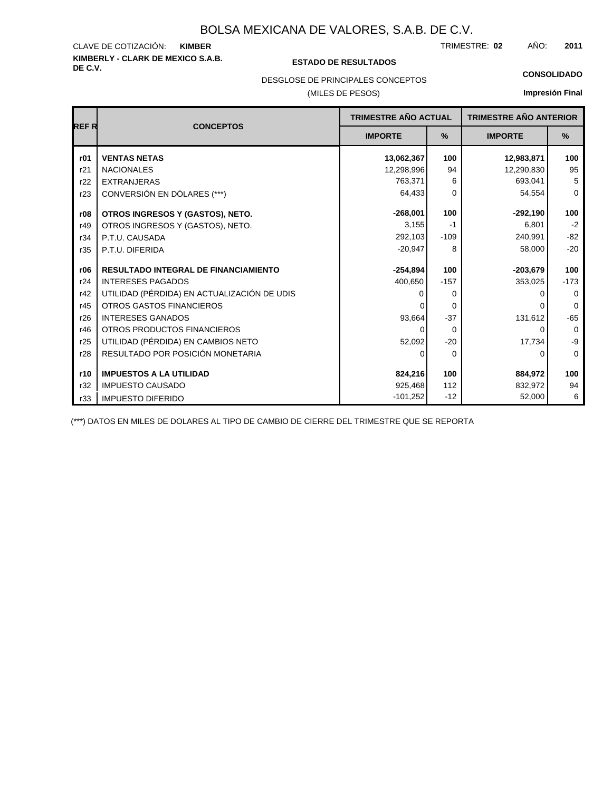## **KIMBERLY - CLARK DE MEXICO S.A.B.** CLAVE DE COTIZACIÓN:

#### **DE C.V. ESTADO DE RESULTADOS**

TRIMESTRE: AÑO: **KIMBER 02 2011**

#### **CONSOLIDADO**

DESGLOSE DE PRINCIPALES CONCEPTOS

#### (MILES DE PESOS)

### **Impresión Final**

|       |                                             | <b>TRIMESTRE AÑO ACTUAL</b> |          | <b>TRIMESTRE AÑO ANTERIOR</b> |             |
|-------|---------------------------------------------|-----------------------------|----------|-------------------------------|-------------|
| REF R | <b>CONCEPTOS</b>                            | <b>IMPORTE</b>              | $\%$     | <b>IMPORTE</b>                | $\%$        |
| r01   | <b>VENTAS NETAS</b>                         | 13,062,367                  | 100      | 12,983,871                    | 100         |
| r21   | <b>NACIONALES</b>                           | 12,298,996                  | 94       | 12,290,830                    | 95          |
| r22   | <b>EXTRANJERAS</b>                          | 763,371                     | 6        | 693,041                       | 5           |
| r23   | CONVERSIÓN EN DÓLARES (***)                 | 64,433                      | $\Omega$ | 54,554                        | $\mathbf 0$ |
| r08   | OTROS INGRESOS Y (GASTOS), NETO.            | $-268,001$                  | 100      | $-292,190$                    | 100         |
| r49   | OTROS INGRESOS Y (GASTOS), NETO.            | 3,155                       | $-1$     | 6,801                         | $-2$        |
| r34   | P.T.U. CAUSADA                              | 292,103                     | $-109$   | 240,991                       | $-82$       |
| r35   | P.T.U. DIFERIDA                             | $-20,947$                   | 8        | 58,000                        | $-20$       |
| r06   | RESULTADO INTEGRAL DE FINANCIAMIENTO        | $-254,894$                  | 100      | $-203,679$                    | 100         |
| r24   | <b>INTERESES PAGADOS</b>                    | 400,650                     | $-157$   | 353,025                       | $-173$      |
| r42   | UTILIDAD (PÉRDIDA) EN ACTUALIZACIÓN DE UDIS |                             | $\Omega$ |                               | 0           |
| r45   | OTROS GASTOS FINANCIEROS                    |                             | $\Omega$ |                               | $\Omega$    |
| r26   | <b>INTERESES GANADOS</b>                    | 93,664                      | $-37$    | 131,612                       | $-65$       |
| r46   | OTROS PRODUCTOS FINANCIEROS                 | $\Omega$                    | $\Omega$ | 0                             | $\mathbf 0$ |
| r25   | UTILIDAD (PÉRDIDA) EN CAMBIOS NETO          | 52,092                      | $-20$    | 17,734                        | -9          |
| r28   | RESULTADO POR POSICIÓN MONETARIA            | 0                           | $\Omega$ | 0                             | 0           |
| r10   | <b>IMPUESTOS A LA UTILIDAD</b>              | 824,216                     | 100      | 884,972                       | 100         |
| r32   | <b>IMPUESTO CAUSADO</b>                     | 925,468                     | 112      | 832,972                       | 94          |
| r33   | <b>IMPUESTO DIFERIDO</b>                    | $-101,252$                  | $-12$    | 52,000                        | 6           |

(\*\*\*) DATOS EN MILES DE DOLARES AL TIPO DE CAMBIO DE CIERRE DEL TRIMESTRE QUE SE REPORTA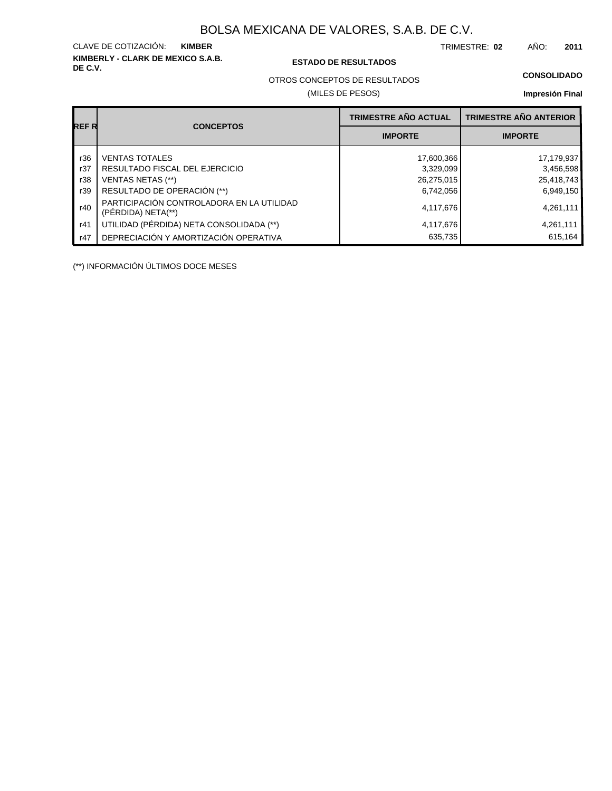**KIMBERLY - CLARK DE MEXICO S.A.B.** CLAVE DE COTIZACIÓN:

#### **DE C.V. ESTADO DE RESULTADOS**

TRIMESTRE: AÑO: **KIMBER 02 2011**

#### **CONSOLIDADO**

OTROS CONCEPTOS DE RESULTADOS

#### (MILES DE PESOS)

#### **Impresión Final**

|       |                                                                 | <b>TRIMESTRE AÑO ACTUAL</b> | <b>TRIMESTRE AÑO ANTERIOR</b> |
|-------|-----------------------------------------------------------------|-----------------------------|-------------------------------|
| REF R | <b>CONCEPTOS</b>                                                | <b>IMPORTE</b>              | <b>IMPORTE</b>                |
| r36   | <b>VENTAS TOTALES</b>                                           | 17,600,366                  | 17,179,937                    |
| r37   | RESULTADO FISCAL DEL EJERCICIO                                  | 3,329,099                   | 3,456,598                     |
| r38   | <b>VENTAS NETAS (**)</b>                                        | 26,275,015                  | 25,418,743                    |
| r39   | RESULTADO DE OPERACIÓN (**)                                     | 6,742,056                   | 6,949,150                     |
| r40   | PARTICIPACIÓN CONTROLADORA EN LA UTILIDAD<br>(PÉRDIDA) NETA(**) | 4,117,676                   | 4,261,111                     |
| r41   | UTILIDAD (PÉRDIDA) NETA CONSOLIDADA (**)                        | 4,117,676                   | 4,261,111                     |
| r47   | DEPRECIACIÓN Y AMORTIZACIÓN OPERATIVA                           | 635,735                     | 615.164                       |

(\*\*) INFORMACIÓN ÚLTIMOS DOCE MESES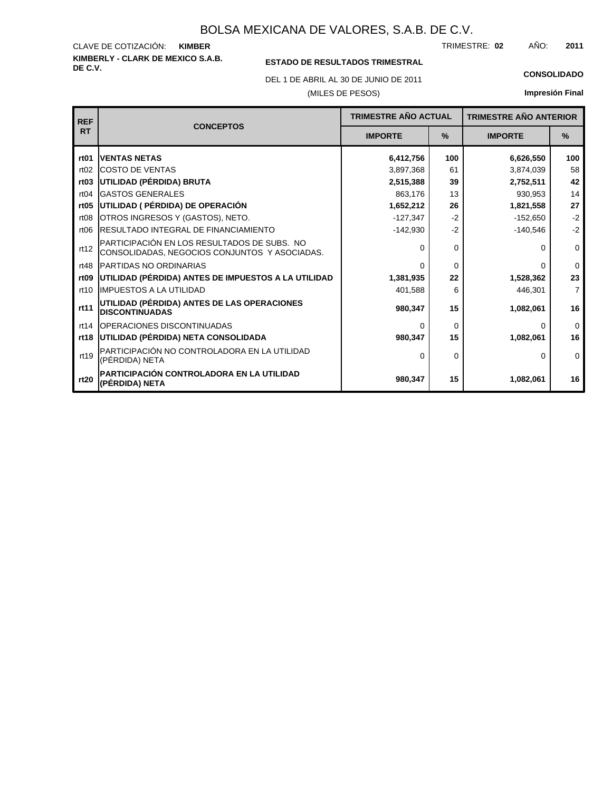**KIMBERLY - CLARK DE MEXICO S.A.B.** CLAVE DE COTIZACIÓN: TRIMESTRE: AÑO: **KIMBER 02 2011**

### **ESTADO DE RESULTADOS TRIMESTRAL**

DEL 1 DE ABRIL AL 30 DE JUNIO DE 2011 **CONSOLIDADO**

#### (MILES DE PESOS)

| <b>REF</b>       |                                                                                              | <b>TRIMESTRE AÑO ACTUAL</b> |      | <b>TRIMESTRE AÑO ANTERIOR</b> |                |
|------------------|----------------------------------------------------------------------------------------------|-----------------------------|------|-------------------------------|----------------|
| <b>RT</b>        | <b>CONCEPTOS</b>                                                                             | <b>IMPORTE</b>              | $\%$ | <b>IMPORTE</b>                | $\frac{9}{6}$  |
| rt <sub>01</sub> | <b>IVENTAS NETAS</b>                                                                         | 6,412,756                   | 100  | 6,626,550                     | 100            |
| rt02             | <b>ICOSTO DE VENTAS</b>                                                                      | 3,897,368                   | 61   | 3,874,039                     | 58             |
| rt <sub>03</sub> | UTILIDAD (PÉRDIDA) BRUTA                                                                     | 2,515,388                   | 39   | 2,752,511                     | 42             |
| rt04             | <b>GASTOS GENERALES</b>                                                                      | 863,176                     | 13   | 930,953                       | 14             |
| rt05             | UTILIDAD ( PÉRDIDA) DE OPERACIÓN                                                             | 1,652,212                   | 26   | 1,821,558                     | 27             |
| rt <sub>08</sub> | OTROS INGRESOS Y (GASTOS), NETO.                                                             | $-127,347$                  | $-2$ | $-152.650$                    | $-2$           |
| rt <sub>06</sub> | <b>IRESULTADO INTEGRAL DE FINANCIAMIENTO</b>                                                 | $-142,930$                  | $-2$ | $-140,546$                    | $-2$           |
| rt12             | PARTICIPACIÓN EN LOS RESULTADOS DE SUBS. NO<br>CONSOLIDADAS, NEGOCIOS CONJUNTOS Y ASOCIADAS. | $\Omega$                    | 0    | 0                             | 0              |
| rt48             | <b>IPARTIDAS NO ORDINARIAS</b>                                                               | $\Omega$                    | 0    | 0                             | $\Omega$       |
| rt <sub>09</sub> | UTILIDAD (PÉRDIDA) ANTES DE IMPUESTOS A LA UTILIDAD                                          | 1,381,935                   | 22   | 1,528,362                     | 23             |
| rt10             | <b>IIMPUESTOS A LA UTILIDAD</b>                                                              | 401,588                     | 6    | 446,301                       | $\overline{7}$ |
| rt11             | UTILIDAD (PÉRDIDA) ANTES DE LAS OPERACIONES<br><b>DISCONTINUADAS</b>                         | 980,347                     | 15   | 1,082,061                     | 16             |
| rt14             | <b>IOPERACIONES DISCONTINUADAS</b>                                                           | $\Omega$                    | 0    | 0                             | $\mathbf 0$    |
| rt18             | UTILIDAD (PÉRDIDA) NETA CONSOLIDADA                                                          | 980,347                     | 15   | 1,082,061                     | 16             |
| rt19             | PARTICIPACIÓN NO CONTROLADORA EN LA UTILIDAD<br>(PÉRDIDA) NETA                               | $\Omega$                    | 0    | 0                             | $\Omega$       |
| rt20             | PARTICIPACIÓN CONTROLADORA EN LA UTILIDAD<br>(PÉRDIDA) NETA                                  | 980,347                     | 15   | 1,082,061                     | 16             |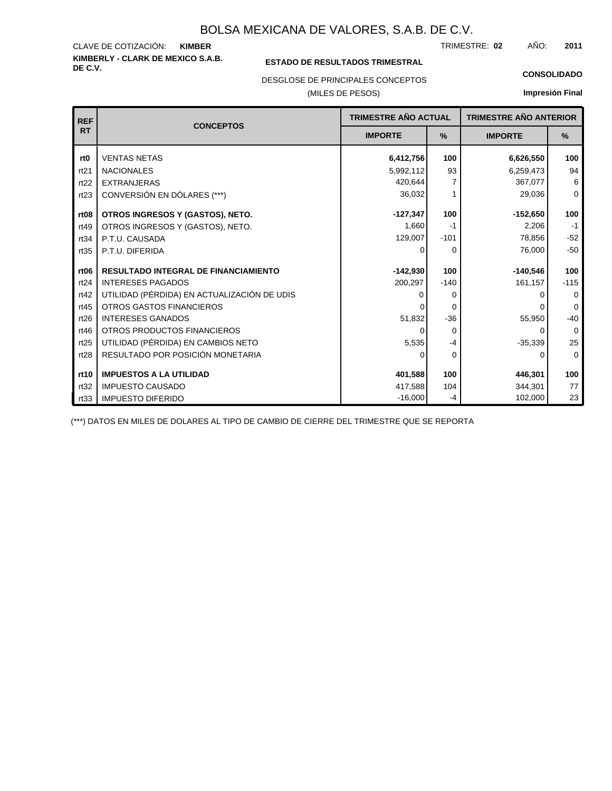#### **KIMBERLY - CLARK DE MEXICO S.A.B.** CLAVE DE COTIZACIÓN: TRIMESTRE: AÑO: **KIMBER 02 2011**

#### **ESTADO DE RESULTADOS TRIMESTRAL**

DESGLOSE DE PRINCIPALES CONCEPTOS

#### (MILES DE PESOS)

#### **CONSOLIDADO**

**Impresión Final**

| <b>REF</b>       | <b>CONCEPTOS</b>                            | TRIMESTRE AÑO ACTUAL |          | <b>TRIMESTRE AÑO ANTERIOR</b> |             |
|------------------|---------------------------------------------|----------------------|----------|-------------------------------|-------------|
| <b>RT</b>        |                                             | <b>IMPORTE</b>       | $\%$     | <b>IMPORTE</b>                | $\%$        |
| rt0              | <b>VENTAS NETAS</b>                         | 6,412,756            | 100      | 6,626,550                     | 100         |
| rt21             | <b>NACIONALES</b>                           | 5,992,112            | 93       | 6,259,473                     | 94          |
| rt22             | <b>EXTRANJERAS</b>                          | 420,644              | 7        | 367,077                       | 6           |
| rt23             | CONVERSIÓN EN DÓLARES (***)                 | 36,032               |          | 29,036                        | $\Omega$    |
| rt <sub>08</sub> | OTROS INGRESOS Y (GASTOS), NETO.            | $-127,347$           | 100      | $-152,650$                    | 100         |
| rt49             | OTROS INGRESOS Y (GASTOS), NETO.            | 1,660                | $-1$     | 2,206                         | $-1$        |
| rt34             | P.T.U. CAUSADA                              | 129,007              | $-101$   | 78,856                        | $-52$       |
| rt35             | P.T.U. DIFERIDA                             | 0                    | 0        | 76,000                        | $-50$       |
|                  |                                             |                      |          |                               |             |
| rt <sub>06</sub> | <b>RESULTADO INTEGRAL DE FINANCIAMIENTO</b> | $-142,930$           | 100      | $-140,546$                    | 100         |
| rt24             | <b>INTERESES PAGADOS</b>                    | 200,297              | $-140$   | 161,157                       | $-115$      |
| rt42             | UTILIDAD (PÉRDIDA) EN ACTUALIZACIÓN DE UDIS | 0                    | 0        |                               | $\Omega$    |
| rt45             | OTROS GASTOS FINANCIEROS                    |                      | 0        |                               | $\Omega$    |
| rt26             | <b>INTERESES GANADOS</b>                    | 51,832               | $-36$    | 55,950                        | $-40$       |
| rt46             | OTROS PRODUCTOS FINANCIEROS                 | 0                    | $\Omega$ | 0                             | $\Omega$    |
| rt25             | UTILIDAD (PÉRDIDA) EN CAMBIOS NETO          | 5,535                | $-4$     | $-35,339$                     | 25          |
| rt28             | RESULTADO POR POSICIÓN MONETARIA            | 0                    | 0        | 0                             | $\mathbf 0$ |
| rt10             | <b>IMPUESTOS A LA UTILIDAD</b>              | 401,588              | 100      | 446,301                       | 100         |
|                  |                                             |                      |          |                               |             |
| rt32             | <b>IMPUESTO CAUSADO</b>                     | 417,588              | 104      | 344.301                       | 77          |
| rt33             | <b>IMPUESTO DIFERIDO</b>                    | $-16,000$            | -4       | 102,000                       | 23          |

(\*\*\*) DATOS EN MILES DE DOLARES AL TIPO DE CAMBIO DE CIERRE DEL TRIMESTRE QUE SE REPORTA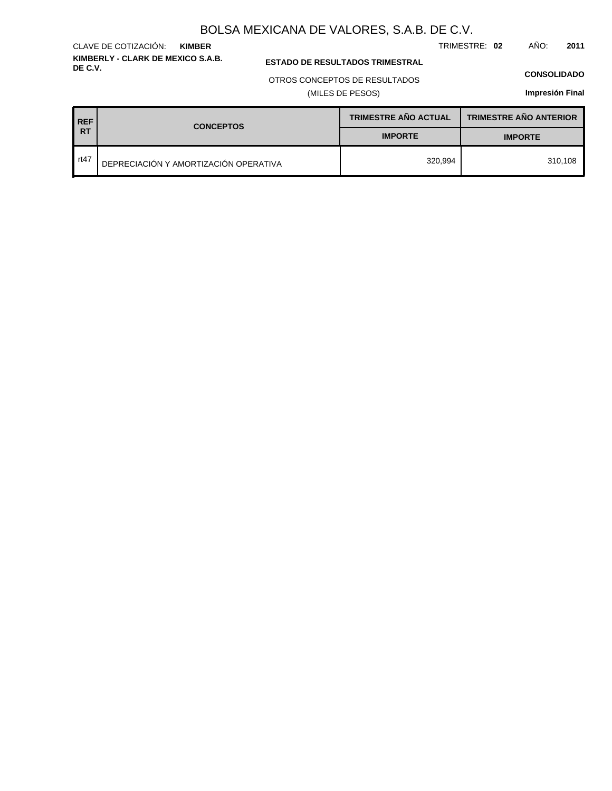TRIMESTRE: **02** AÑO: **2011**

**KIMBERLY - CLARK DE MEXICO S.A.B.** CLAVE DE COTIZACIÓN: **KIMBER**

**ESTADO DE RESULTADOS TRIMESTRAL** 

#### OTROS CONCEPTOS DE RESULTADOS

(MILES DE PESOS)

#### **CONSOLIDADO**

| REF <sup>'</sup> | <b>CONCEPTOS</b>                      | <b>TRIMESTRE AÑO ACTUAL</b> | <b>TRIMESTRE AÑO ANTERIOR</b> |
|------------------|---------------------------------------|-----------------------------|-------------------------------|
| I RT             |                                       | <b>IMPORTE</b>              | <b>IMPORTE</b>                |
| rt47             | DEPRECIACIÓN Y AMORTIZACIÓN OPERATIVA | 320.994                     | 310.108                       |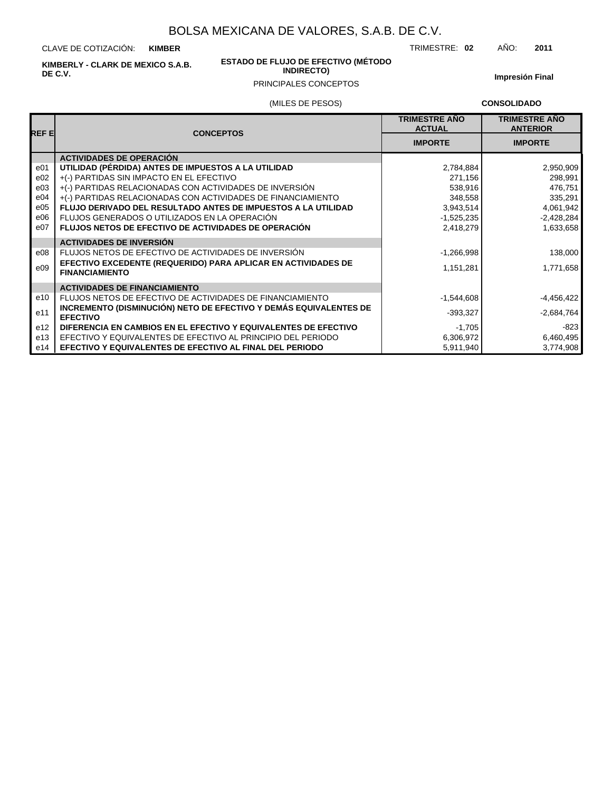CLAVE DE COTIZACIÓN: **KIMBER**

**KIMBERLY - CLARK DE MEXICO S.A.B. DE C.V.**

#### **ESTADO DE FLUJO DE EFECTIVO (MÉTODO INDIRECTO)**

**Impresión Final**

## PRINCIPALES CONCEPTOS

#### (MILES DE PESOS)

**CONSOLIDADO**

| REF EI          | <b>CONCEPTOS</b>                                                                       | <b>TRIMESTRE AÑO</b><br><b>ACTUAL</b> | <b>TRIMESTRE AÑO</b><br><b>ANTERIOR</b> |
|-----------------|----------------------------------------------------------------------------------------|---------------------------------------|-----------------------------------------|
|                 |                                                                                        | <b>IMPORTE</b>                        | <b>IMPORTE</b>                          |
|                 | <b>ACTIVIDADES DE OPERACIÓN</b>                                                        |                                       |                                         |
| e <sub>01</sub> | UTILIDAD (PÉRDIDA) ANTES DE IMPUESTOS A LA UTILIDAD                                    | 2,784,884                             | 2,950,909                               |
| e02             | +(-) PARTIDAS SIN IMPACTO EN EL EFECTIVO                                               | 271,156                               | 298,991                                 |
| e03             | +(-) PARTIDAS RELACIONADAS CON ACTIVIDADES DE INVERSIÓN                                | 538,916                               | 476,751                                 |
| e04             | +(-) PARTIDAS RELACIONADAS CON ACTIVIDADES DE FINANCIAMIENTO                           | 348,558                               | 335,291                                 |
| e05             | <b>FLUJO DERIVADO DEL RESULTADO ANTES DE IMPUESTOS A LA UTILIDAD</b>                   | 3,943,514                             | 4,061,942                               |
| e06             | FLUJOS GENERADOS O UTILIZADOS EN LA OPERACIÓN                                          | $-1,525,235$                          | $-2,428,284$                            |
| e07             | <b>FLUJOS NETOS DE EFECTIVO DE ACTIVIDADES DE OPERACIÓN</b>                            | 2,418,279                             | 1,633,658                               |
|                 | <b>ACTIVIDADES DE INVERSIÓN</b>                                                        |                                       |                                         |
| e08             | FLUJOS NETOS DE EFECTIVO DE ACTIVIDADES DE INVERSIÓN                                   | $-1,266,998$                          | 138,000                                 |
| e09             | EFECTIVO EXCEDENTE (REQUERIDO) PARA APLICAR EN ACTIVIDADES DE<br><b>FINANCIAMIENTO</b> | 1,151,281                             | 1,771,658                               |
|                 | <b>ACTIVIDADES DE FINANCIAMIENTO</b>                                                   |                                       |                                         |
| e10             | FLUJOS NETOS DE EFECTIVO DE ACTIVIDADES DE FINANCIAMIENTO                              | $-1,544,608$                          | $-4,456,422$                            |
| e11             | INCREMENTO (DISMINUCIÓN) NETO DE EFECTIVO Y DEMÁS EQUIVALENTES DE<br><b>EFECTIVO</b>   | $-393,327$                            | $-2,684,764$                            |
| e <sub>12</sub> | DIFERENCIA EN CAMBIOS EN EL EFECTIVO Y EQUIVALENTES DE EFECTIVO                        | $-1,705$                              | $-823$                                  |
| e13             | EFECTIVO Y EQUIVALENTES DE EFECTIVO AL PRINCIPIO DEL PERIODO                           | 6,306,972                             | 6,460,495                               |
| e14             | EFECTIVO Y EQUIVALENTES DE EFECTIVO AL FINAL DEL PERIODO                               | 5,911,940                             | 3,774,908                               |

TRIMESTRE: **02** AÑO: **2011**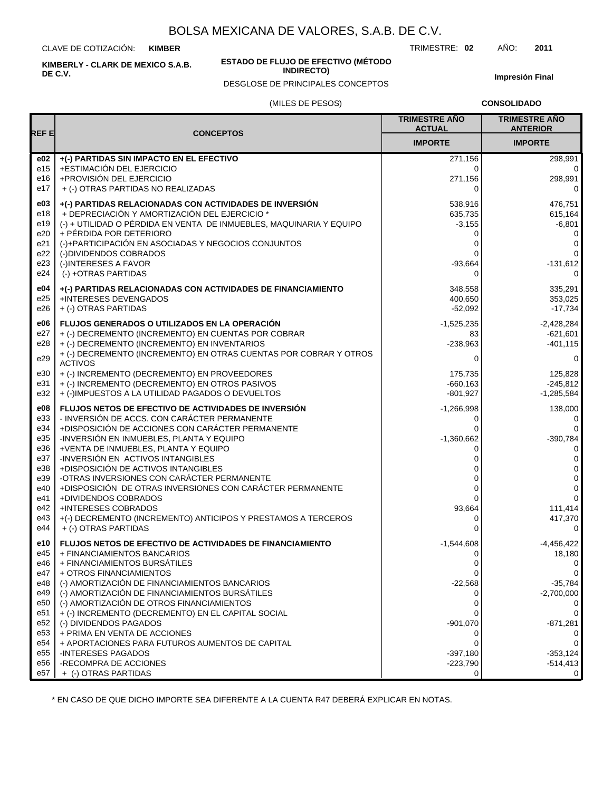CLAVE DE COTIZACIÓN: **KIMBER**

**KIMBERLY - CLARK DE MEXICO S.A.B. DE C.V.**

#### **ESTADO DE FLUJO DE EFECTIVO (MÉTODO INDIRECTO)**

DESGLOSE DE PRINCIPALES CONCEPTOS

TRIMESTRE: **02** AÑO: **2011**

**Impresión Final**

#### (MILES DE PESOS)

**CONSOLIDADO**

| REF E           |                                                                                                 | <b>TRIMESTRE AÑO</b><br><b>ACTUAL</b> | <b>TRIMESTRE AÑO</b><br><b>ANTERIOR</b> |
|-----------------|-------------------------------------------------------------------------------------------------|---------------------------------------|-----------------------------------------|
|                 | <b>CONCEPTOS</b>                                                                                | <b>IMPORTE</b>                        | <b>IMPORTE</b>                          |
| e02             | +(-) PARTIDAS SIN IMPACTO EN EL EFECTIVO                                                        | 271,156                               | 298,991                                 |
| e15             | +ESTIMACIÓN DEL EJERCICIO                                                                       | 0                                     | 0                                       |
| e16             | +PROVISIÓN DEL EJERCICIO                                                                        | 271,156                               | 298,991                                 |
| e17             | + (-) OTRAS PARTIDAS NO REALIZADAS                                                              | 0                                     | 0                                       |
| e03             | +(-) PARTIDAS RELACIONADAS CON ACTIVIDADES DE INVERSIÓN                                         | 538,916                               | 476,751                                 |
| e18             | + DEPRECIACIÓN Y AMORTIZACIÓN DEL EJERCICIO *                                                   | 635,735                               | 615,164                                 |
| e19             | (-) + UTILIDAD O PÉRDIDA EN VENTA DE INMUEBLES, MAQUINARIA Y EQUIPO                             | $-3,155$                              | $-6,801$                                |
| e20             | + PÉRDIDA POR DETERIORO                                                                         | 0                                     | 0                                       |
| e21             | (-)+PARTICIPACIÓN EN ASOCIADAS Y NEGOCIOS CONJUNTOS                                             | 0                                     | 0                                       |
| e22             | (-)DIVIDENDOS COBRADOS                                                                          | 0                                     | 0                                       |
| e23             | (-)INTERESES A FAVOR                                                                            | $-93,664$                             | $-131,612$                              |
| e24             | (-) +OTRAS PARTIDAS                                                                             | $\Omega$                              | 0                                       |
| e04             | +(-) PARTIDAS RELACIONADAS CON ACTIVIDADES DE FINANCIAMIENTO                                    | 348,558                               | 335,291                                 |
| e25             | +INTERESES DEVENGADOS                                                                           | 400,650                               | 353,025                                 |
| e26             | + (-) OTRAS PARTIDAS                                                                            | $-52,092$                             | $-17,734$                               |
| e06             | <b>FLUJOS GENERADOS O UTILIZADOS EN LA OPERACIÓN</b>                                            | $-1,525,235$                          | $-2,428,284$                            |
| e27             | + (-) DECREMENTO (INCREMENTO) EN CUENTAS POR COBRAR                                             | 83                                    | $-621,601$                              |
| e28             | + (-) DECREMENTO (INCREMENTO) EN INVENTARIOS                                                    | $-238,963$                            | $-401, 115$                             |
| e29             | + (-) DECREMENTO (INCREMENTO) EN OTRAS CUENTAS POR COBRAR Y OTROS<br><b>ACTIVOS</b>             | 0                                     | 0                                       |
| e30             | + (-) INCREMENTO (DECREMENTO) EN PROVEEDORES                                                    | 175,735                               | 125,828                                 |
| e31             | + (-) INCREMENTO (DECREMENTO) EN OTROS PASIVOS                                                  | $-660,163$                            | $-245.812$                              |
| e32             | + (-)IMPUESTOS A LA UTILIDAD PAGADOS O DEVUELTOS                                                | $-801,927$                            | $-1,285,584$                            |
| e08             | FLUJOS NETOS DE EFECTIVO DE ACTIVIDADES DE INVERSIÓN                                            | $-1,266,998$                          | 138,000                                 |
| e33             | - INVERSIÓN DE ACCS. CON CARÁCTER PERMANENTE                                                    | 0                                     | 0                                       |
| e34             | +DISPOSICIÓN DE ACCIONES CON CARÁCTER PERMANENTE                                                | 0                                     | 0                                       |
| e35             | -INVERSIÓN EN INMUEBLES, PLANTA Y EQUIPO                                                        | $-1,360,662$                          | $-390,784$                              |
| e36             | +VENTA DE INMUEBLES, PLANTA Y EQUIPO                                                            | 0                                     | 0                                       |
| e37             | -INVERSIÓN EN ACTIVOS INTANGIBLES                                                               | 0                                     | 0                                       |
| e38             | +DISPOSICIÓN DE ACTIVOS INTANGIBLES                                                             | 0                                     | 0                                       |
| e39             | -OTRAS INVERSIONES CON CARÁCTER PERMANENTE                                                      | 0                                     | 0                                       |
| e40<br>e41      | +DISPOSICIÓN DE OTRAS INVERSIONES CON CARÁCTER PERMANENTE<br>+DIVIDENDOS COBRADOS               | 0<br>$\Omega$                         | 0<br>$\mathbf{0}$                       |
| e42             | <b>+INTERESES COBRADOS</b>                                                                      | 93,664                                | 111,414                                 |
| e43             | +(-) DECREMENTO (INCREMENTO) ANTICIPOS Y PRESTAMOS A TERCEROS                                   | 0                                     | 417,370                                 |
| e44             | + (-) OTRAS PARTIDAS                                                                            | $\Omega$                              | 0                                       |
| e10             | FLUJOS NETOS DE EFECTIVO DE ACTIVIDADES DE FINANCIAMIENTO                                       | $-1,544,608$                          | $-4,456,422$                            |
| e45             | + FINANCIAMIENTOS BANCARIOS                                                                     | 0                                     | 18,180                                  |
| e46             | + FINANCIAMIENTOS BURSÁTILES                                                                    |                                       | $\mathsf 0$                             |
| e47             | + OTROS FINANCIAMIENTOS                                                                         | $\Omega$                              | 0                                       |
| e48             | (-) AMORTIZACIÓN DE FINANCIAMIENTOS BANCARIOS                                                   | $-22,568$                             | $-35,784$                               |
| e49             | (-) AMORTIZACIÓN DE FINANCIAMIENTOS BURSÁTILES                                                  | 0                                     | $-2,700,000$                            |
| e50<br>e51      | (-) AMORTIZACIÓN DE OTROS FINANCIAMIENTOS<br>+ (-) INCREMENTO (DECREMENTO) EN EL CAPITAL SOCIAL | 0<br>0                                | 0<br>0                                  |
| e <sub>52</sub> | (-) DIVIDENDOS PAGADOS                                                                          | $-901,070$                            | $-871,281$                              |
| e <sub>53</sub> | + PRIMA EN VENTA DE ACCIONES                                                                    | 0                                     | 0                                       |
| e54             | + APORTACIONES PARA FUTUROS AUMENTOS DE CAPITAL                                                 | 0                                     | 0                                       |
| e <sub>55</sub> | -INTERESES PAGADOS                                                                              | $-397,180$                            | $-353,124$                              |
| e56             | -RECOMPRA DE ACCIONES                                                                           | $-223,790$                            | $-514,413$                              |
| e57             | + (-) OTRAS PARTIDAS                                                                            | 0                                     | 0                                       |

\* EN CASO DE QUE DICHO IMPORTE SEA DIFERENTE A LA CUENTA R47 DEBERÁ EXPLICAR EN NOTAS.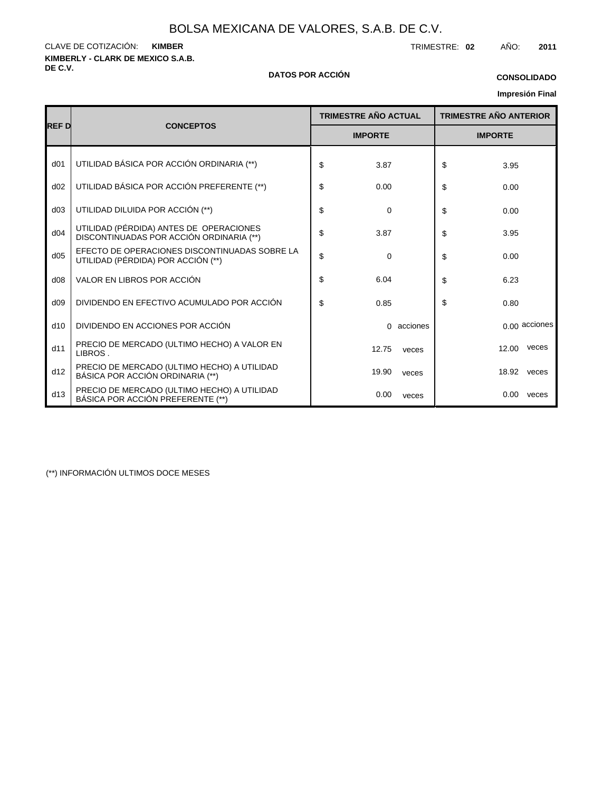**KIMBERLY - CLARK DE MEXICO S.A.B.** CLAVE DE COTIZACIÓN: TRIMESTRE: **02** AÑO: **2011 KIMBER**

#### **DE C.V. DATOS POR ACCIÓN**

### **Impresión Final CONSOLIDADO**

|                 |                                                                                     | <b>TRIMESTRE AÑO ACTUAL</b> |            | <b>TRIMESTRE AÑO ANTERIOR</b> |             |               |  |
|-----------------|-------------------------------------------------------------------------------------|-----------------------------|------------|-------------------------------|-------------|---------------|--|
| <b>REF D</b>    | <b>CONCEPTOS</b>                                                                    | <b>IMPORTE</b>              |            | <b>IMPORTE</b>                |             |               |  |
| d <sub>01</sub> | UTILIDAD BÁSICA POR ACCIÓN ORDINARIA (**)                                           | \$<br>3.87                  |            | \$                            | 3.95        |               |  |
| d02             | UTILIDAD BÁSICA POR ACCIÓN PREFERENTE (**)                                          | \$<br>0.00                  |            | \$                            | 0.00        |               |  |
| d03             | UTILIDAD DILUIDA POR ACCIÓN (**)                                                    | \$<br>0                     |            | \$                            | 0.00        |               |  |
| d04             | UTILIDAD (PÉRDIDA) ANTES DE OPERACIONES<br>DISCONTINUADAS POR ACCIÓN ORDINARIA (**) | \$<br>3.87                  |            | \$                            | 3.95        |               |  |
| d05             | EFECTO DE OPERACIONES DISCONTINUADAS SOBRE LA<br>UTILIDAD (PÉRDIDA) POR ACCIÓN (**) | \$<br>$\Omega$              |            | \$                            | 0.00        |               |  |
| d08             | VALOR EN LIBROS POR ACCIÓN                                                          | \$<br>6.04                  |            | \$                            | 6.23        |               |  |
| d09             | DIVIDENDO EN EFECTIVO ACUMULADO POR ACCIÓN                                          | \$<br>0.85                  |            | \$                            | 0.80        |               |  |
| d10             | DIVIDENDO EN ACCIONES POR ACCIÓN                                                    |                             | 0 acciones |                               |             | 0.00 acciones |  |
| d11             | PRECIO DE MERCADO (ULTIMO HECHO) A VALOR EN<br>LIBROS.                              | 12.75                       | veces      |                               | 12.00       | veces         |  |
| d12             | PRECIO DE MERCADO (ULTIMO HECHO) A UTILIDAD<br>BÁSICA POR ACCIÓN ORDINARIA (**)     | 19.90                       | veces      |                               | 18.92 veces |               |  |
| d13             | PRECIO DE MERCADO (ULTIMO HECHO) A UTILIDAD<br>BÁSICA POR ACCIÓN PREFERENTE (**)    | 0.00                        | veces      |                               | 0.00        | veces         |  |

(\*\*) INFORMACIÓN ULTIMOS DOCE MESES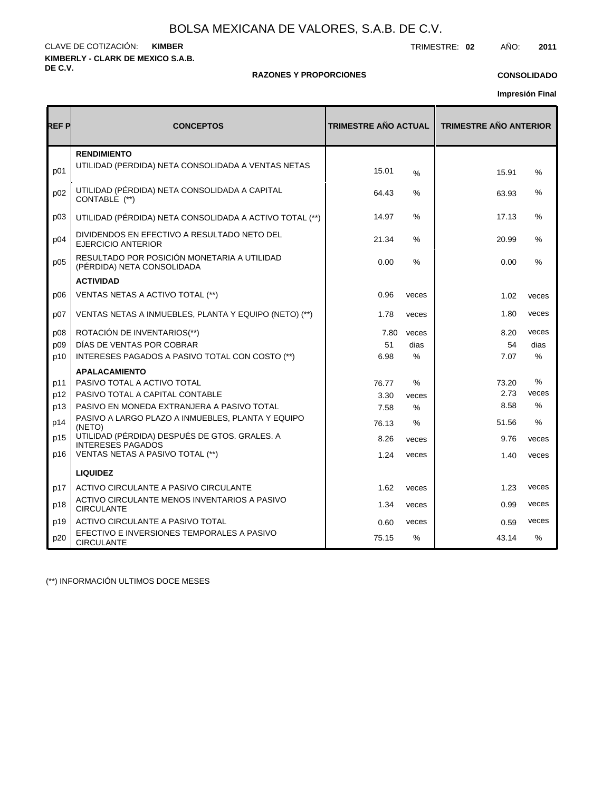**KIMBERLY - CLARK DE MEXICO S.A.B. DE C.V.** CLAVE DE COTIZACIÓN: TRIMESTRE: **02** AÑO: **2011 KIMBER**

#### **RAZONES Y PROPORCIONES**

#### **CONSOLIDADO**

**Impresión Final**

| REF P | <b>CONCEPTOS</b>                                                          | <b>TRIMESTRE AÑO ACTUAL</b> |       | <b>TRIMESTRE AÑO ANTERIOR</b> |       |  |  |  |
|-------|---------------------------------------------------------------------------|-----------------------------|-------|-------------------------------|-------|--|--|--|
|       | <b>RENDIMIENTO</b>                                                        |                             |       |                               |       |  |  |  |
| p01   | UTILIDAD (PÉRDIDA) NETA CONSOLIDADA A VENTAS NETAS                        | 15.01                       | $\%$  | 15.91                         | %     |  |  |  |
| p02   | UTILIDAD (PÉRDIDA) NETA CONSOLIDADA A CAPITAL<br>CONTABLE (**)            | 64.43                       | $\%$  | 63.93                         | %     |  |  |  |
| p03   | UTILIDAD (PÉRDIDA) NETA CONSOLIDADA A ACTIVO TOTAL (**)                   | 14.97                       | ℅     | 17.13                         | %     |  |  |  |
| p04   | DIVIDENDOS EN EFECTIVO A RESULTADO NETO DEL<br>EJERCICIO ANTERIOR         | 21.34                       | %     | 20.99                         | %     |  |  |  |
| p05   | RESULTADO POR POSICIÓN MONETARIA A UTILIDAD<br>(PÉRDIDA) NETA CONSOLIDADA | 0.00                        | $\%$  | 0.00                          | $\%$  |  |  |  |
|       | <b>ACTIVIDAD</b>                                                          |                             |       |                               |       |  |  |  |
| p06   | VENTAS NETAS A ACTIVO TOTAL (**)                                          | 0.96                        | veces | 1.02                          | veces |  |  |  |
| p07   | VENTAS NETAS A INMUEBLES, PLANTA Y EQUIPO (NETO) (**)                     | 1.78                        | veces | 1.80                          | veces |  |  |  |
| p08   | ROTACIÓN DE INVENTARIOS(**)                                               | 7.80                        | veces | 8.20                          | veces |  |  |  |
| p09   | DÍAS DE VENTAS POR COBRAR                                                 | 51                          | dias  | 54                            | dias  |  |  |  |
| p10   | INTERESES PAGADOS A PASIVO TOTAL CON COSTO (**)                           | 6.98                        | $\%$  | 7.07                          | %     |  |  |  |
|       | <b>APALACAMIENTO</b>                                                      |                             |       |                               |       |  |  |  |
| p11   | PASIVO TOTAL A ACTIVO TOTAL                                               | 76.77                       | %     | 73.20                         | %     |  |  |  |
| p12   | PASIVO TOTAL A CAPITAL CONTABLE                                           | 3.30                        | veces | 2.73                          | veces |  |  |  |
| p13   | PASIVO EN MONEDA EXTRANJERA A PASIVO TOTAL                                | 7.58                        | $\%$  | 8.58                          | $\%$  |  |  |  |
| p14   | PASIVO A LARGO PLAZO A INMUEBLES, PLANTA Y EQUIPO<br>(NETO)               | 76.13                       | ℅     | 51.56                         | %     |  |  |  |
| p15   | UTILIDAD (PÉRDIDA) DESPUÉS DE GTOS. GRALES. A<br><b>INTERESES PAGADOS</b> | 8.26                        | veces | 9.76                          | veces |  |  |  |
| p16   | VENTAS NETAS A PASIVO TOTAL (**)                                          | 1.24                        | veces | 1.40                          | veces |  |  |  |
|       | <b>LIQUIDEZ</b>                                                           |                             |       |                               |       |  |  |  |
| p17   | ACTIVO CIRCULANTE A PASIVO CIRCULANTE                                     | 1.62                        | veces | 1.23                          | veces |  |  |  |
| p18   | ACTIVO CIRCULANTE MENOS INVENTARIOS A PASIVO<br><b>CIRCULANTE</b>         | 1.34                        | veces | 0.99                          | veces |  |  |  |
| p19   | ACTIVO CIRCULANTE A PASIVO TOTAL                                          | 0.60                        | veces | 0.59                          | veces |  |  |  |
| p20   | EFECTIVO E INVERSIONES TEMPORALES A PASIVO<br><b>CIRCULANTE</b>           | 75.15                       | %     | 43.14                         | $\%$  |  |  |  |

(\*\*) INFORMACIÓN ULTIMOS DOCE MESES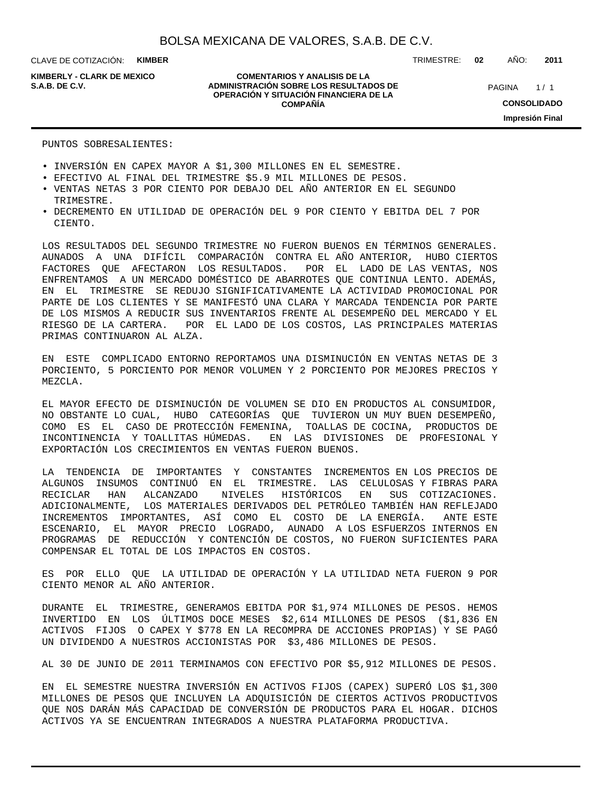**KIMBERLY - CLARK DE MEXICO**

#### **COMENTARIOS Y ANALISIS DE LA ADMINISTRACIÓN SOBRE LOS RESULTADOS DE S.A.B. DE C.V.** PAGINA / 1 **OPERACIÓN Y SITUACIÓN FINANCIERA DE LA COMPAÑÍA**

TRIMESTRE: **02** AÑO: **2011**

 $1/1$ **CONSOLIDADO Impresión Final**

PUNTOS SOBRESALIENTES:

- INVERSIÓN EN CAPEX MAYOR A \$1,300 MILLONES EN EL SEMESTRE.
- EFECTIVO AL FINAL DEL TRIMESTRE \$5.9 MIL MILLONES DE PESOS.
- VENTAS NETAS 3 POR CIENTO POR DEBAJO DEL AÑO ANTERIOR EN EL SEGUNDO TRIMESTRE.
- DECREMENTO EN UTILIDAD DE OPERACIÓN DEL 9 POR CIENTO Y EBITDA DEL 7 POR CIENTO.

LOS RESULTADOS DEL SEGUNDO TRIMESTRE NO FUERON BUENOS EN TÉRMINOS GENERALES. AUNADOS A UNA DIFÍCIL COMPARACIÓN CONTRA EL AÑO ANTERIOR, HUBO CIERTOS FACTORES QUE AFECTARON LOS RESULTADOS. POR EL LADO DE LAS VENTAS, NOS ENFRENTAMOS A UN MERCADO DOMÉSTICO DE ABARROTES QUE CONTINUA LENTO. ADEMÁS, EN EL TRIMESTRE SE REDUJO SIGNIFICATIVAMENTE LA ACTIVIDAD PROMOCIONAL POR PARTE DE LOS CLIENTES Y SE MANIFESTÓ UNA CLARA Y MARCADA TENDENCIA POR PARTE DE LOS MISMOS A REDUCIR SUS INVENTARIOS FRENTE AL DESEMPEÑO DEL MERCADO Y EL RIESGO DE LA CARTERA. POR EL LADO DE LOS COSTOS, LAS PRINCIPALES MATERIAS PRIMAS CONTINUARON AL ALZA.

EN ESTE COMPLICADO ENTORNO REPORTAMOS UNA DISMINUCIÓN EN VENTAS NETAS DE 3 PORCIENTO, 5 PORCIENTO POR MENOR VOLUMEN Y 2 PORCIENTO POR MEJORES PRECIOS Y MEZCLA.

EL MAYOR EFECTO DE DISMINUCIÓN DE VOLUMEN SE DIO EN PRODUCTOS AL CONSUMIDOR, NO OBSTANTE LO CUAL, HUBO CATEGORÍAS QUE TUVIERON UN MUY BUEN DESEMPEÑO, COMO ES EL CASO DE PROTECCIÓN FEMENINA, TOALLAS DE COCINA, PRODUCTOS DE INCONTINENCIA Y TOALLITAS HÚMEDAS. EN LAS DIVISIONES DE PROFESIONAL Y EXPORTACIÓN LOS CRECIMIENTOS EN VENTAS FUERON BUENOS.

LA TENDENCIA DE IMPORTANTES Y CONSTANTES INCREMENTOS EN LOS PRECIOS DE ALGUNOS INSUMOS CONTINUÓ EN EL TRIMESTRE. LAS CELULOSAS Y FIBRAS PARA RECICLAR HAN ALCANZADO NIVELES HISTÓRICOS EN SUS COTIZACIONES. ADICIONALMENTE, LOS MATERIALES DERIVADOS DEL PETRÓLEO TAMBIÉN HAN REFLEJADO INCREMENTOS IMPORTANTES, ASÍ COMO EL COSTO DE LA ENERGÍA. ANTE ESTE ESCENARIO, EL MAYOR PRECIO LOGRADO, AUNADO A LOS ESFUERZOS INTERNOS EN PROGRAMAS DE REDUCCIÓN Y CONTENCIÓN DE COSTOS, NO FUERON SUFICIENTES PARA COMPENSAR EL TOTAL DE LOS IMPACTOS EN COSTOS.

ES POR ELLO QUE LA UTILIDAD DE OPERACIÓN Y LA UTILIDAD NETA FUERON 9 POR CIENTO MENOR AL AÑO ANTERIOR.

DURANTE EL TRIMESTRE, GENERAMOS EBITDA POR \$1,974 MILLONES DE PESOS. HEMOS INVERTIDO EN LOS ÚLTIMOS DOCE MESES \$2,614 MILLONES DE PESOS (\$1,836 EN ACTIVOS FIJOS O CAPEX Y \$778 EN LA RECOMPRA DE ACCIONES PROPIAS) Y SE PAGÓ UN DIVIDENDO A NUESTROS ACCIONISTAS POR \$3,486 MILLONES DE PESOS.

AL 30 DE JUNIO DE 2011 TERMINAMOS CON EFECTIVO POR \$5,912 MILLONES DE PESOS.

EN EL SEMESTRE NUESTRA INVERSIÓN EN ACTIVOS FIJOS (CAPEX) SUPERÓ LOS \$1,300 MILLONES DE PESOS QUE INCLUYEN LA ADQUISICIÓN DE CIERTOS ACTIVOS PRODUCTIVOS QUE NOS DARÁN MÁS CAPACIDAD DE CONVERSIÓN DE PRODUCTOS PARA EL HOGAR. DICHOS ACTIVOS YA SE ENCUENTRAN INTEGRADOS A NUESTRA PLATAFORMA PRODUCTIVA.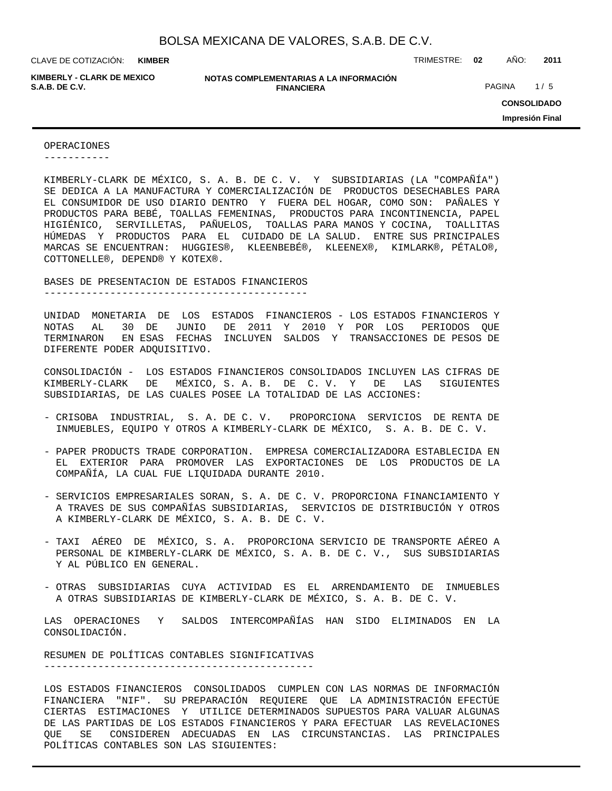**KIMBER**

**KIMBERLY - CLARK DE MEXICO**

**NOTAS COMPLEMENTARIAS A LA INFORMACIÓN FINANCIERA S.A.B. DE C.V.** PAGINA 1/5

CLAVE DE COTIZACIÓN: TRIMESTRE: **02** AÑO: **2011**

**CONSOLIDADO Impresión Final**

OPERACIONES

-----------

KIMBERLY-CLARK DE MÉXICO, S. A. B. DE C. V. Y SUBSIDIARIAS (LA "COMPAÑÍA") SE DEDICA A LA MANUFACTURA Y COMERCIALIZACIÓN DE PRODUCTOS DESECHABLES PARA EL CONSUMIDOR DE USO DIARIO DENTRO Y FUERA DEL HOGAR, COMO SON: PAÑALES Y PRODUCTOS PARA BEBÉ, TOALLAS FEMENINAS, PRODUCTOS PARA INCONTINENCIA, PAPEL HIGIÉNICO, SERVILLETAS, PAÑUELOS, TOALLAS PARA MANOS Y COCINA, TOALLITAS HÚMEDAS Y PRODUCTOS PARA EL CUIDADO DE LA SALUD. ENTRE SUS PRINCIPALES MARCAS SE ENCUENTRAN: HUGGIES®, KLEENBEBÉ®, KLEENEX®, KIMLARK®, PÉTALO®, COTTONELLE®, DEPEND® Y KOTEX®.

BASES DE PRESENTACION DE ESTADOS FINANCIEROS

--------------------------------------------

UNIDAD MONETARIA DE LOS ESTADOS FINANCIEROS - LOS ESTADOS FINANCIEROS Y NOTAS AL 30 DE JUNIO DE 2011 Y 2010 Y POR LOS PERIODOS QUE TERMINARON EN ESAS FECHAS INCLUYEN SALDOS Y TRANSACCIONES DE PESOS DE DIFERENTE PODER ADQUISITIVO.

CONSOLIDACIÓN - LOS ESTADOS FINANCIEROS CONSOLIDADOS INCLUYEN LAS CIFRAS DE KIMBERLY-CLARK DE MÉXICO, S. A. B. DE C. V. Y DE LAS SIGUIENTES SUBSIDIARIAS, DE LAS CUALES POSEE LA TOTALIDAD DE LAS ACCIONES:

- CRISOBA INDUSTRIAL, S. A. DE C. V. PROPORCIONA SERVICIOS DE RENTA DE INMUEBLES, EQUIPO Y OTROS A KIMBERLY-CLARK DE MÉXICO, S. A. B. DE C. V.
- PAPER PRODUCTS TRADE CORPORATION. EMPRESA COMERCIALIZADORA ESTABLECIDA EN EL EXTERIOR PARA PROMOVER LAS EXPORTACIONES DE LOS PRODUCTOS DE LA COMPAÑÍA, LA CUAL FUE LIQUIDADA DURANTE 2010.
- SERVICIOS EMPRESARIALES SORAN, S. A. DE C. V. PROPORCIONA FINANCIAMIENTO Y A TRAVES DE SUS COMPAÑÍAS SUBSIDIARIAS, SERVICIOS DE DISTRIBUCIÓN Y OTROS A KIMBERLY-CLARK DE MÉXICO, S. A. B. DE C. V.
- TAXI AÉREO DE MÉXICO, S. A. PROPORCIONA SERVICIO DE TRANSPORTE AÉREO A PERSONAL DE KIMBERLY-CLARK DE MÉXICO, S. A. B. DE C. V., SUS SUBSIDIARIAS Y AL PÚBLICO EN GENERAL.
- OTRAS SUBSIDIARIAS CUYA ACTIVIDAD ES EL ARRENDAMIENTO DE INMUEBLES A OTRAS SUBSIDIARIAS DE KIMBERLY-CLARK DE MÉXICO, S. A. B. DE C. V.

LAS OPERACIONES Y SALDOS INTERCOMPAÑÍAS HAN SIDO ELIMINADOS EN LA CONSOLIDACIÓN.

RESUMEN DE POLÍTICAS CONTABLES SIGNIFICATIVAS ---------------------------------------------

LOS ESTADOS FINANCIEROS CONSOLIDADOS CUMPLEN CON LAS NORMAS DE INFORMACIÓN FINANCIERA "NIF". SU PREPARACIÓN REQUIERE QUE LA ADMINISTRACIÓN EFECTÚE CIERTAS ESTIMACIONES Y UTILICE DETERMINADOS SUPUESTOS PARA VALUAR ALGUNAS DE LAS PARTIDAS DE LOS ESTADOS FINANCIEROS Y PARA EFECTUAR LAS REVELACIONES QUE SE CONSIDEREN ADECUADAS EN LAS CIRCUNSTANCIAS. LAS PRINCIPALES POLÍTICAS CONTABLES SON LAS SIGUIENTES: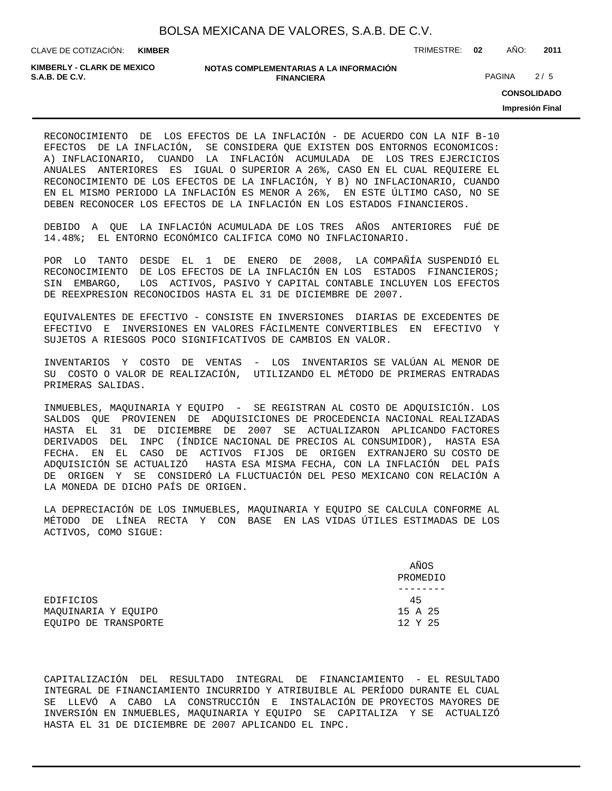**KIMBER**

CLAVE DE COTIZACIÓN: TRIMESTRE: **02** AÑO: **2011**

**KIMBERLY - CLARK DE MEXICO**

#### **NOTAS COMPLEMENTARIAS A LA INFORMACIÓN FINANCIERA S.A.B. DE C.V.** PAGINA 2 / 5

**CONSOLIDADO**

**Impresión Final**

RECONOCIMIENTO DE LOS EFECTOS DE LA INFLACIÓN - DE ACUERDO CON LA NIF B-10 EFECTOS DE LA INFLACIÓN, SE CONSIDERA QUE EXISTEN DOS ENTORNOS ECONOMICOS: A) INFLACIONARIO, CUANDO LA INFLACIÓN ACUMULADA DE LOS TRES EJERCICIOS ANUALES ANTERIORES ES IGUAL O SUPERIOR A 26%, CASO EN EL CUAL REQUIERE EL RECONOCIMIENTO DE LOS EFECTOS DE LA INFLACIÓN, Y B) NO INFLACIONARIO, CUANDO EN EL MISMO PERIODO LA INFLACIÓN ES MENOR A 26%, EN ESTE ÚLTIMO CASO, NO SE DEBEN RECONOCER LOS EFECTOS DE LA INFLACIÓN EN LOS ESTADOS FINANCIEROS.

DEBIDO A QUE LA INFLACIÓN ACUMULADA DE LOS TRES AÑOS ANTERIORES FUÉ DE 14.48%; EL ENTORNO ECONÓMICO CALIFICA COMO NO INFLACIONARIO.

POR LO TANTO DESDE EL 1 DE ENERO DE 2008, LA COMPAÑÍA SUSPENDIÓ EL RECONOCIMIENTO DE LOS EFECTOS DE LA INFLACIÓN EN LOS ESTADOS FINANCIEROS; SIN EMBARGO, LOS ACTIVOS, PASIVO Y CAPITAL CONTABLE INCLUYEN LOS EFECTOS DE REEXPRESION RECONOCIDOS HASTA EL 31 DE DICIEMBRE DE 2007.

EQUIVALENTES DE EFECTIVO - CONSISTE EN INVERSIONES DIARIAS DE EXCEDENTES DE EFECTIVO E INVERSIONES EN VALORES FÁCILMENTE CONVERTIBLES EN EFECTIVO Y SUJETOS A RIESGOS POCO SIGNIFICATIVOS DE CAMBIOS EN VALOR.

INVENTARIOS Y COSTO DE VENTAS - LOS INVENTARIOS SE VALÚAN AL MENOR DE SU COSTO O VALOR DE REALIZACIÓN, UTILIZANDO EL MÉTODO DE PRIMERAS ENTRADAS PRIMERAS SALIDAS.

INMUEBLES, MAQUINARIA Y EQUIPO - SE REGISTRAN AL COSTO DE ADQUISICIÓN. LOS SALDOS QUE PROVIENEN DE ADQUISICIONES DE PROCEDENCIA NACIONAL REALIZADAS HASTA EL 31 DE DICIEMBRE DE 2007 SE ACTUALIZARON APLICANDO FACTORES DERIVADOS DEL INPC (ÍNDICE NACIONAL DE PRECIOS AL CONSUMIDOR), HASTA ESA FECHA. EN EL CASO DE ACTIVOS FIJOS DE ORIGEN EXTRANJERO SU COSTO DE ADQUISICIÓN SE ACTUALIZÓ HASTA ESA MISMA FECHA, CON LA INFLACIÓN DEL PAÍS DE ORIGEN Y SE CONSIDERÓ LA FLUCTUACIÓN DEL PESO MEXICANO CON RELACIÓN A LA MONEDA DE DICHO PAÍS DE ORIGEN.

LA DEPRECIACIÓN DE LOS INMUEBLES, MAQUINARIA Y EQUIPO SE CALCULA CONFORME AL MÉTODO DE LÍNEA RECTA Y CON BASE EN LAS VIDAS ÚTILES ESTIMADAS DE LOS ACTIVOS, COMO SIGUE:

|                      | AÑOS     |
|----------------------|----------|
|                      | PROMEDIO |
|                      |          |
| EDIFICIOS            | 45       |
| MAOUINARIA Y EOUIPO  | 15 A 25  |
| EOUIPO DE TRANSPORTE | 12 Y 25  |

CAPITALIZACIÓN DEL RESULTADO INTEGRAL DE FINANCIAMIENTO - EL RESULTADO INTEGRAL DE FINANCIAMIENTO INCURRIDO Y ATRIBUIBLE AL PERÍODO DURANTE EL CUAL SE LLEVÓ A CABO LA CONSTRUCCIÓN E INSTALACIÓN DE PROYECTOS MAYORES DE INVERSIÓN EN INMUEBLES, MAQUINARIA Y EQUIPO SE CAPITALIZA Y SE ACTUALIZÓ HASTA EL 31 DE DICIEMBRE DE 2007 APLICANDO EL INPC.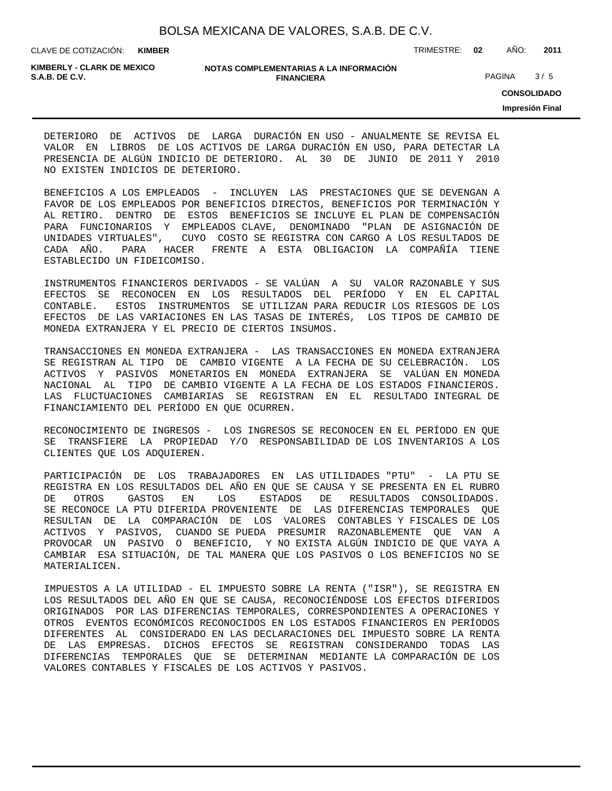| BOLSA MEXICANA DE VALORES, S.A.B. DE C.V. |  |  |
|-------------------------------------------|--|--|
|                                           |  |  |

CLAVE DE COTIZACIÓN: TRIMESTRE: **02** AÑO: **2011 KIMBER**

**KIMBERLY - CLARK DE MEXICO**

#### **NOTAS COMPLEMENTARIAS A LA INFORMACIÓN FINANCIERA S.A.B. DE C.V.** PAGINA 3 / 5

**CONSOLIDADO**

**Impresión Final**

DETERIORO DE ACTIVOS DE LARGA DURACIÓN EN USO - ANUALMENTE SE REVISA EL VALOR EN LIBROS DE LOS ACTIVOS DE LARGA DURACIÓN EN USO, PARA DETECTAR LA PRESENCIA DE ALGÚN INDICIO DE DETERIORO. AL 30 DE JUNIO DE 2011 Y 2010 NO EXISTEN INDICIOS DE DETERIORO.

BENEFICIOS A LOS EMPLEADOS - INCLUYEN LAS PRESTACIONES QUE SE DEVENGAN A FAVOR DE LOS EMPLEADOS POR BENEFICIOS DIRECTOS, BENEFICIOS POR TERMINACIÓN Y AL RETIRO. DENTRO DE ESTOS BENEFICIOS SE INCLUYE EL PLAN DE COMPENSACIÓN PARA FUNCIONARIOS Y EMPLEADOS CLAVE, DENOMINADO "PLAN DE ASIGNACIÓN DE UNIDADES VIRTUALES", CUYO COSTO SE REGISTRA CON CARGO A LOS RESULTADOS DE CADA AÑO. PARA HACER FRENTE A ESTA OBLIGACION LA COMPAÑÍA TIENE ESTABLECIDO UN FIDEICOMISO.

INSTRUMENTOS FINANCIEROS DERIVADOS - SE VALÚAN A SU VALOR RAZONABLE Y SUS EFECTOS SE RECONOCEN EN LOS RESULTADOS DEL PERÍODO Y EN EL CAPITAL CONTABLE. ESTOS INSTRUMENTOS SE UTILIZAN PARA REDUCIR LOS RIESGOS DE LOS EFECTOS DE LAS VARIACIONES EN LAS TASAS DE INTERÉS, LOS TIPOS DE CAMBIO DE MONEDA EXTRANJERA Y EL PRECIO DE CIERTOS INSUMOS.

TRANSACCIONES EN MONEDA EXTRANJERA - LAS TRANSACCIONES EN MONEDA EXTRANJERA SE REGISTRAN AL TIPO DE CAMBIO VIGENTE A LA FECHA DE SU CELEBRACIÓN. LOS ACTIVOS Y PASIVOS MONETARIOS EN MONEDA EXTRANJERA SE VALÚAN EN MONEDA NACIONAL AL TIPO DE CAMBIO VIGENTE A LA FECHA DE LOS ESTADOS FINANCIEROS. LAS FLUCTUACIONES CAMBIARIAS SE REGISTRAN EN EL RESULTADO INTEGRAL DE FINANCIAMIENTO DEL PERÍODO EN QUE OCURREN.

RECONOCIMIENTO DE INGRESOS - LOS INGRESOS SE RECONOCEN EN EL PERÍODO EN QUE SE TRANSFIERE LA PROPIEDAD Y/O RESPONSABILIDAD DE LOS INVENTARIOS A LOS CLIENTES QUE LOS ADQUIEREN.

PARTICIPACIÓN DE LOS TRABAJADORES EN LAS UTILIDADES "PTU" - LA PTU SE REGISTRA EN LOS RESULTADOS DEL AÑO EN QUE SE CAUSA Y SE PRESENTA EN EL RUBRO DE OTROS GASTOS EN LOS ESTADOS DE RESULTADOS CONSOLIDADOS. SE RECONOCE LA PTU DIFERIDA PROVENIENTE DE LAS DIFERENCIAS TEMPORALES QUE RESULTAN DE LA COMPARACIÓN DE LOS VALORES CONTABLES Y FISCALES DE LOS ACTIVOS Y PASIVOS, CUANDO SE PUEDA PRESUMIR RAZONABLEMENTE QUE VAN A PROVOCAR UN PASIVO O BENEFICIO, Y NO EXISTA ALGÚN INDICIO DE QUE VAYA A CAMBIAR ESA SITUACIÓN, DE TAL MANERA QUE LOS PASIVOS O LOS BENEFICIOS NO SE MATERIALICEN.

IMPUESTOS A LA UTILIDAD - EL IMPUESTO SOBRE LA RENTA ("ISR"), SE REGISTRA EN LOS RESULTADOS DEL AÑO EN QUE SE CAUSA, RECONOCIÉNDOSE LOS EFECTOS DIFERIDOS ORIGINADOS POR LAS DIFERENCIAS TEMPORALES, CORRESPONDIENTES A OPERACIONES Y OTROS EVENTOS ECONÓMICOS RECONOCIDOS EN LOS ESTADOS FINANCIEROS EN PERÍODOS DIFERENTES AL CONSIDERADO EN LAS DECLARACIONES DEL IMPUESTO SOBRE LA RENTA DE LAS EMPRESAS. DICHOS EFECTOS SE REGISTRAN CONSIDERANDO TODAS LAS DIFERENCIAS TEMPORALES QUE SE DETERMINAN MEDIANTE LA COMPARACIÓN DE LOS VALORES CONTABLES Y FISCALES DE LOS ACTIVOS Y PASIVOS.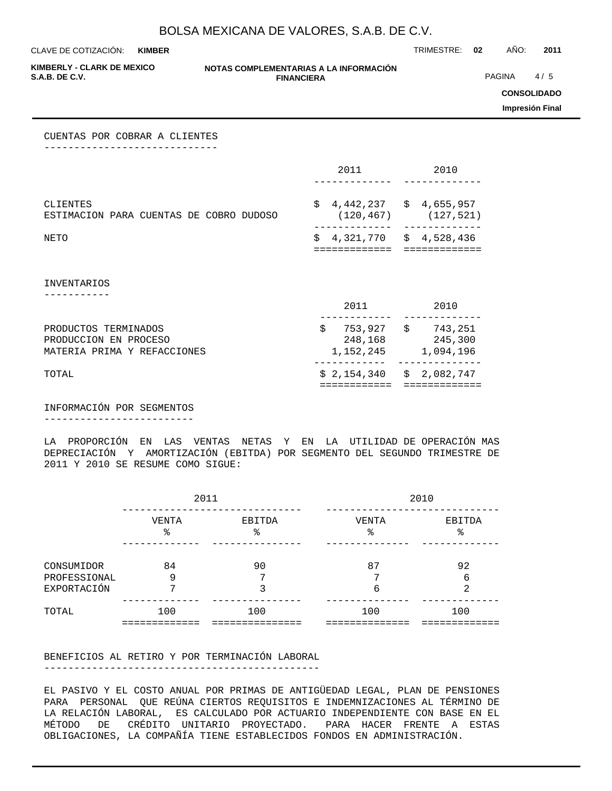**KIMBER**

CLAVE DE COTIZACIÓN: TRIMESTRE: **02** AÑO: **2011**

**KIMBERLY - CLARK DE MEXICO**

#### **NOTAS COMPLEMENTARIAS A LA INFORMACIÓN FINANCIERA**

**PAGINA** 4/5

**CONSOLIDADO**

**Impresión Final**

CUENTAS POR COBRAR A CLIENTES -----------------------------

|                                                                              | 2011                                      | 2010                                                |
|------------------------------------------------------------------------------|-------------------------------------------|-----------------------------------------------------|
| CLIENTES<br>ESTIMACION PARA CUENTAS DE COBRO DUDOSO                          | \$<br>(120, 467)                          | $4,442,237$ $\frac{2}{3}$ $4,655,957$<br>(127, 521) |
| NETO                                                                         | \$<br>============                        | 4,321,770 \$ 4,528,436<br>============              |
| <b>INVENTARIOS</b>                                                           |                                           |                                                     |
|                                                                              | 2011                                      | 2010                                                |
| PRODUCTOS TERMINADOS<br>PRODUCCION EN PROCESO<br>MATERIA PRIMA Y REFACCIONES | \$<br>248,168<br>1,152,245                | 753,927 \$ 743,251<br>245,300<br>1,094,196          |
| TOTAL                                                                        | $$2,154,340 \t$2,082,747$<br>============ | =============                                       |

INFORMACIÓN POR SEGMENTOS -------------------------

LA PROPORCIÓN EN LAS VENTAS NETAS Y EN LA UTILIDAD DE OPERACIÓN MAS DEPRECIACIÓN Y AMORTIZACIÓN (EBITDA) POR SEGMENTO DEL SEGUNDO TRIMESTRE DE 2011 Y 2010 SE RESUME COMO SIGUE:

|                            | 2011        |              | 2010        |              |  |  |  |  |
|----------------------------|-------------|--------------|-------------|--------------|--|--|--|--|
|                            | VENTA<br>ిన | EBITDA<br>နွ | VENTA<br>٩, | EBITDA<br>ిన |  |  |  |  |
| CONSUMIDOR<br>PROFESSIONAL | 84<br>9     | 90<br>⇁      | 87<br>⇁     | 92<br>6      |  |  |  |  |
| EXPORTACIÓN<br>TOTAL       | 100         | 100          | 6<br>100    | 2<br>100     |  |  |  |  |
|                            |             |              |             |              |  |  |  |  |

BENEFICIOS AL RETIRO Y POR TERMINACIÓN LABORAL

----------------------------------------------

EL PASIVO Y EL COSTO ANUAL POR PRIMAS DE ANTIGÜEDAD LEGAL, PLAN DE PENSIONES PARA PERSONAL QUE REÚNA CIERTOS REQUISITOS E INDEMNIZACIONES AL TÉRMINO DE LA RELACIÓN LABORAL, ES CALCULADO POR ACTUARIO INDEPENDIENTE CON BASE EN EL MÉTODO DE CRÉDITO UNITARIO PROYECTADO. PARA HACER FRENTE A ESTAS OBLIGACIONES, LA COMPAÑÍA TIENE ESTABLECIDOS FONDOS EN ADMINISTRACIÓN.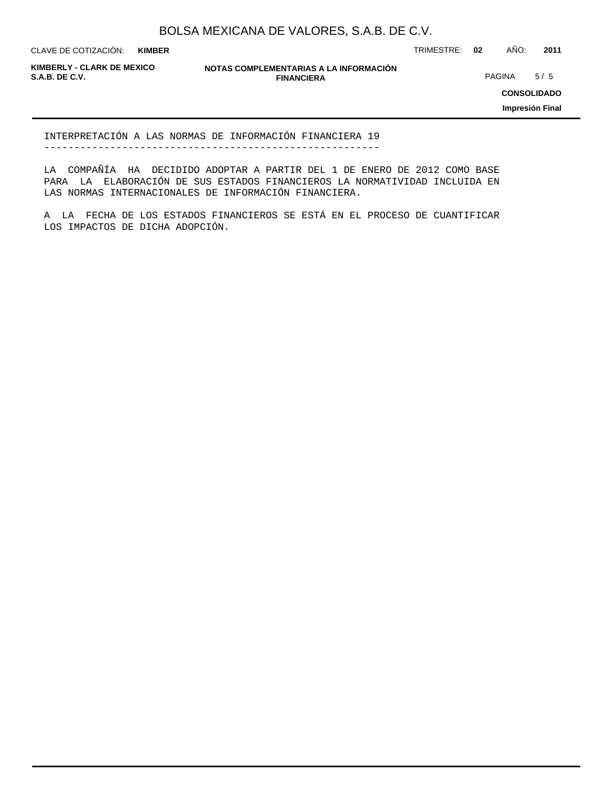**KIMBER**

CLAVE DE COTIZACIÓN: TRIMESTRE: **02** AÑO: **2011**

**KIMBERLY - CLARK DE MEXICO**

**NOTAS COMPLEMENTARIAS A LA INFORMACIÓN FINANCIERA S.A.B. DE C.V.** PAGINA 5 / 5

**CONSOLIDADO**

**Impresión Final**

INTERPRETACIÓN A LAS NORMAS DE INFORMACIÓN FINANCIERA 19 --------------------------------------------------------

LA COMPAÑÍA HA DECIDIDO ADOPTAR A PARTIR DEL 1 DE ENERO DE 2012 COMO BASE PARA LA ELABORACIÓN DE SUS ESTADOS FINANCIEROS LA NORMATIVIDAD INCLUIDA EN LAS NORMAS INTERNACIONALES DE INFORMACIÓN FINANCIERA.

A LA FECHA DE LOS ESTADOS FINANCIEROS SE ESTÁ EN EL PROCESO DE CUANTIFICAR LOS IMPACTOS DE DICHA ADOPCIÓN.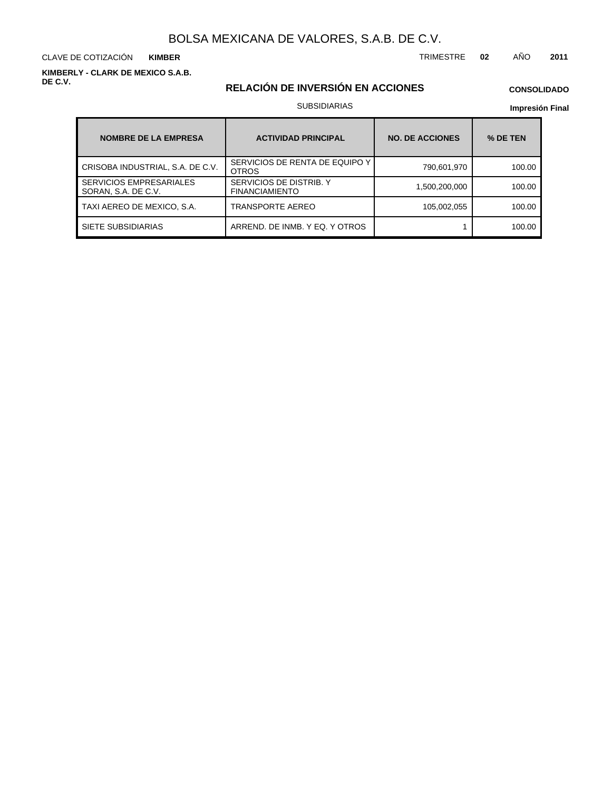CLAVE DE COTIZACIÓN TRIMESTRE **02** AÑO **2011 KIMBER**

**KIMBERLY - CLARK DE MEXICO S.A.B. DE C.V.**

## **RELACIÓN DE INVERSIÓN EN ACCIONES**

## **CONSOLIDADO**

#### SUBSIDIARIAS

| <b>NOMBRE DE LA EMPRESA</b>                           | <b>ACTIVIDAD PRINCIPAL</b>                       | <b>NO. DE ACCIONES</b> | % DE TEN |  |  |
|-------------------------------------------------------|--------------------------------------------------|------------------------|----------|--|--|
| CRISOBA INDUSTRIAL, S.A. DE C.V.                      | SERVICIOS DE RENTA DE EQUIPO Y<br><b>OTROS</b>   | 790,601,970            | 100.00   |  |  |
| <b>SERVICIOS EMPRESARIALES</b><br>SORAN, S.A. DE C.V. | SERVICIOS DE DISTRIB. Y<br><b>FINANCIAMIENTO</b> | 1,500,200,000          | 100.00   |  |  |
| TAXI AEREO DE MEXICO, S.A.                            | <b>TRANSPORTE AEREO</b>                          | 105,002,055            | 100.00   |  |  |
| SIETE SUBSIDIARIAS                                    | ARREND. DE INMB. Y EQ. Y OTROS                   |                        | 100.00   |  |  |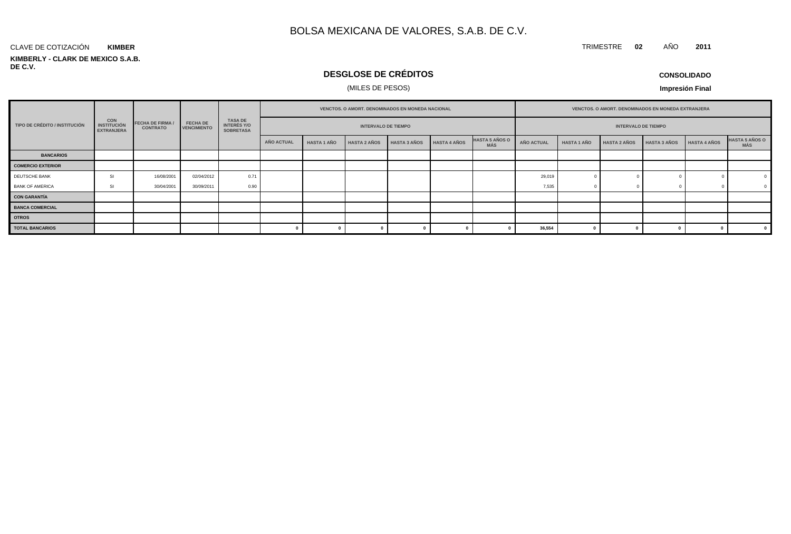#### **KIMBERLY - CLARK DE MEXICO S.A.B. DE C.V.** CLAVE DE COTIZACIÓN **KIMBER**

## **DESGLOSE DE CRÉDITOS**

### (MILES DE PESOS)

**CONSOLIDADO**

TRIMESTRE **02** AÑO **2011**

|                               | <b>CON</b><br><b>INSTITUCIÓN</b><br><b>EXTRANJERA</b> | <b>FECHA DE FIRMA /</b><br><b>CONTRATO</b> |                                       | <b>TASA DE</b><br><b>INTERÉS Y/O</b><br><b>SOBRETASA</b> | VENCTOS. O AMORT. DENOMINADOS EN MONEDA NACIONAL |                    |                            |                     |                     |                                     |            | VENCTOS. O AMORT. DENOMINADOS EN MONEDA EXTRANJERA |                     |                     |                     |                                     |  |
|-------------------------------|-------------------------------------------------------|--------------------------------------------|---------------------------------------|----------------------------------------------------------|--------------------------------------------------|--------------------|----------------------------|---------------------|---------------------|-------------------------------------|------------|----------------------------------------------------|---------------------|---------------------|---------------------|-------------------------------------|--|
| TIPO DE CRÉDITO / INSTITUCIÓN |                                                       |                                            | <b>FECHA DE</b><br><b>VENCIMIENTO</b> |                                                          |                                                  |                    | <b>INTERVALO DE TIEMPO</b> |                     |                     | <b>INTERVALO DE TIEMPO</b>          |            |                                                    |                     |                     |                     |                                     |  |
|                               |                                                       |                                            |                                       |                                                          | AÑO ACTUAL                                       | <b>HASTA 1 AÑO</b> | <b>HASTA 2 AÑOS</b>        | <b>HASTA 3 AÑOS</b> | <b>HASTA 4 AÑOS</b> | <b>HASTA 5 AÑOS O</b><br><b>MÁS</b> | AÑO ACTUAL | <b>HASTA 1 AÑO</b>                                 | <b>HASTA 2 AÑOS</b> | <b>HASTA 3 AÑOS</b> | <b>HASTA 4 AÑOS</b> | <b>HASTA 5 AÑOS O</b><br><b>MÁS</b> |  |
| <b>BANCARIOS</b>              |                                                       |                                            |                                       |                                                          |                                                  |                    |                            |                     |                     |                                     |            |                                                    |                     |                     |                     |                                     |  |
| <b>COMERCIO EXTERIOR</b>      |                                                       |                                            |                                       |                                                          |                                                  |                    |                            |                     |                     |                                     |            |                                                    |                     |                     |                     |                                     |  |
| DEUTSCHE BANK                 | SI                                                    | 16/08/2001                                 | 02/04/2012                            | 0.71                                                     |                                                  |                    |                            |                     |                     |                                     | 29,019     |                                                    |                     |                     |                     |                                     |  |
| <b>BANK OF AMERICA</b>        | SI                                                    | 30/04/2001                                 | 30/09/2011                            | 0.90                                                     |                                                  |                    |                            |                     |                     |                                     | 7,535      |                                                    |                     |                     |                     | $\overline{0}$                      |  |
| <b>CON GARANTÍA</b>           |                                                       |                                            |                                       |                                                          |                                                  |                    |                            |                     |                     |                                     |            |                                                    |                     |                     |                     |                                     |  |
| <b>BANCA COMERCIAL</b>        |                                                       |                                            |                                       |                                                          |                                                  |                    |                            |                     |                     |                                     |            |                                                    |                     |                     |                     |                                     |  |
| <b>OTROS</b>                  |                                                       |                                            |                                       |                                                          |                                                  |                    |                            |                     |                     |                                     |            |                                                    |                     |                     |                     |                                     |  |
| <b>TOTAL BANCARIOS</b>        |                                                       |                                            |                                       |                                                          |                                                  |                    |                            |                     |                     |                                     | 36,554     |                                                    |                     |                     |                     |                                     |  |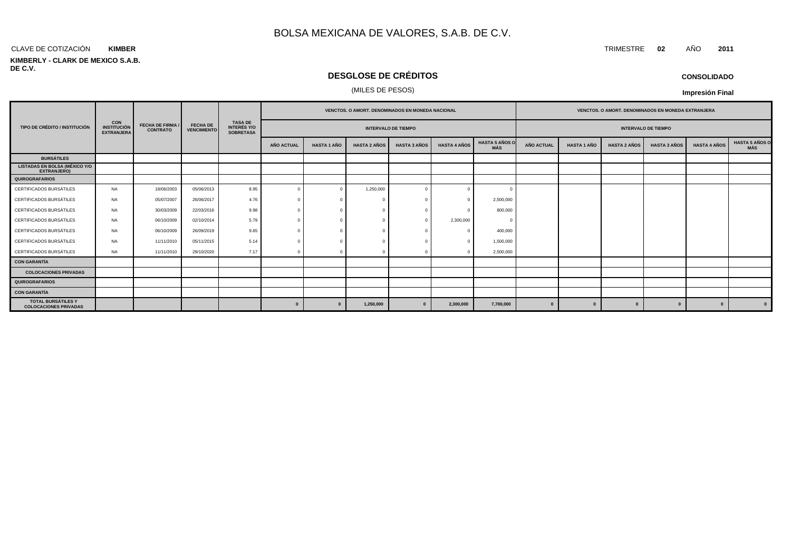#### CLAVE DE COTIZACIÓN TRIMESTRE **02** AÑO **2011 KIMBER**

#### **KIMBERLY - CLARK DE MEXICO S.A.B. DE C.V.**

## **DESGLOSE DE CRÉDITOS**

#### (MILES DE PESOS)

|                                                            | <b>CON</b><br><b>INSTITUCIÓN</b><br><b>EXTRANJERA</b> | <b>FECHA DE FIRMA /</b><br><b>CONTRATO</b> | <b>FECHA DE</b><br><b>VENCIMIENTO</b> |                                                          |                            |                    | <b>VENCTOS, O AMORT, DENOMINADOS EN MONEDA NACIONAL</b> |                     |                     | <b>VENCTOS, O AMORT, DENOMINADOS EN MONEDA EXTRANJERA</b> |            |                            |                     |                     |                     |                                     |
|------------------------------------------------------------|-------------------------------------------------------|--------------------------------------------|---------------------------------------|----------------------------------------------------------|----------------------------|--------------------|---------------------------------------------------------|---------------------|---------------------|-----------------------------------------------------------|------------|----------------------------|---------------------|---------------------|---------------------|-------------------------------------|
| TIPO DE CRÉDITO / INSTITUCIÓN                              |                                                       |                                            |                                       | <b>TASA DE</b><br><b>INTERÉS Y/O</b><br><b>SOBRETASA</b> | <b>INTERVALO DE TIEMPO</b> |                    |                                                         |                     |                     |                                                           |            | <b>INTERVALO DE TIEMPO</b> |                     |                     |                     |                                     |
|                                                            |                                                       |                                            |                                       |                                                          | AÑO ACTUAL                 | <b>HASTA 1 AÑO</b> | <b>HASTA 2 AÑOS</b>                                     | <b>HASTA 3 AÑOS</b> | <b>HASTA 4 AÑOS</b> | <b>HASTA 5 AÑOS O</b><br>MÁS                              | AÑO ACTUAL | <b>HASTA 1 AÑO</b>         | <b>HASTA 2 AÑOS</b> | <b>HASTA 3 AÑOS</b> | <b>HASTA 4 AÑOS</b> | <b>HASTA 5 AÑOS O</b><br><b>MÁS</b> |
| <b>BURSÁTILES</b>                                          |                                                       |                                            |                                       |                                                          |                            |                    |                                                         |                     |                     |                                                           |            |                            |                     |                     |                     |                                     |
| <b>LISTADAS EN BOLSA (MÉXICO Y/O</b><br><b>EXTRANJERO)</b> |                                                       |                                            |                                       |                                                          |                            |                    |                                                         |                     |                     |                                                           |            |                            |                     |                     |                     |                                     |
| <b>QUIROGRAFARIOS</b>                                      |                                                       |                                            |                                       |                                                          |                            |                    |                                                         |                     |                     |                                                           |            |                            |                     |                     |                     |                                     |
| CERTIFICADOS BURSÁTILES                                    | <b>NA</b>                                             | 18/06/2003                                 | 05/06/2013                            | 8.95                                                     |                            | $^{\circ}$         | 1,250,000                                               |                     |                     | $\sqrt{ }$                                                |            |                            |                     |                     |                     |                                     |
| CERTIFICADOS BURSÁTILES                                    | <b>NA</b>                                             | 05/07/2007                                 | 26/06/2017                            | 4.76                                                     |                            | $\Omega$           |                                                         |                     |                     | 2,500,000                                                 |            |                            |                     |                     |                     |                                     |
| CERTIFICADOS BURSÁTILES                                    | <b>NA</b>                                             | 30/03/2009                                 | 22/03/2016                            | 9.98                                                     |                            |                    |                                                         |                     |                     | 800,000                                                   |            |                            |                     |                     |                     |                                     |
| CERTIFICADOS BURSÁTILES                                    | <b>NA</b>                                             | 06/10/2009                                 | 02/10/2014                            | 5.79                                                     |                            |                    |                                                         |                     | 2,300,000           | - 0                                                       |            |                            |                     |                     |                     |                                     |
| CERTIFICADOS BURSÁTILES                                    | <b>NA</b>                                             | 06/10/2009                                 | 26/09/2019                            | 9.65                                                     |                            | $\Omega$           |                                                         |                     |                     | 400,000                                                   |            |                            |                     |                     |                     |                                     |
| CERTIFICADOS BURSÁTILES                                    | <b>NA</b>                                             | 11/11/2010                                 | 05/11/2015                            | 5.14                                                     |                            |                    |                                                         |                     |                     | 1,500,000                                                 |            |                            |                     |                     |                     |                                     |
| CERTIFICADOS BURSÁTILES                                    | <b>NA</b>                                             | 11/11/2010                                 | 29/10/2020                            | 7.17                                                     |                            | $\Omega$           |                                                         |                     |                     | 2,500,000                                                 |            |                            |                     |                     |                     |                                     |
| <b>CON GARANTÍA</b>                                        |                                                       |                                            |                                       |                                                          |                            |                    |                                                         |                     |                     |                                                           |            |                            |                     |                     |                     |                                     |
| <b>COLOCACIONES PRIVADAS</b>                               |                                                       |                                            |                                       |                                                          |                            |                    |                                                         |                     |                     |                                                           |            |                            |                     |                     |                     |                                     |
| QUIROGRAFARIOS                                             |                                                       |                                            |                                       |                                                          |                            |                    |                                                         |                     |                     |                                                           |            |                            |                     |                     |                     |                                     |
| <b>CON GARANTÍA</b>                                        |                                                       |                                            |                                       |                                                          |                            |                    |                                                         |                     |                     |                                                           |            |                            |                     |                     |                     |                                     |
| <b>TOTAL BURSÁTILES Y</b><br><b>COLOCACIONES PRIVADAS</b>  |                                                       |                                            |                                       |                                                          | $\bf{0}$                   | $\mathbf{0}$       | 1,250,000                                               |                     | 2,300,000           | 7,700,000                                                 | 0          |                            | $\mathbf{a}$        | $\Omega$            | $\mathbf{0}$        | $\mathbf{0}$                        |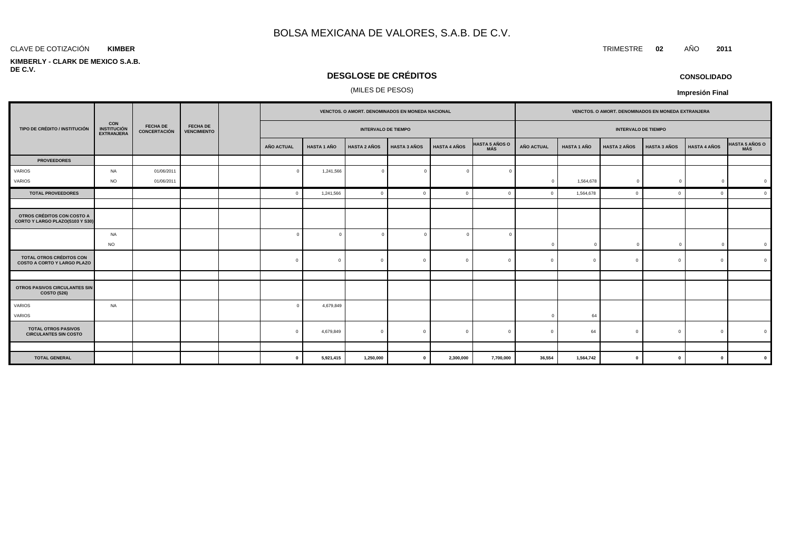#### **KIMBER**

#### **KIMBERLY - CLARK DE MEXICO S.A.B. DE C.V.**

## **DESGLOSE DE CRÉDITOS**

## (MILES DE PESOS)

|                                                                |                                                       | <b>FECHA DE</b><br><b>CONCERTACIÓN</b> | <b>FECHA DE</b><br><b>VENCIMIENTO</b> | VENCTOS. O AMORT. DENOMINADOS EN MONEDA NACIONAL |                    |                            |                     |                     |                              | VENCTOS. O AMORT. DENOMINADOS EN MONEDA EXTRANJERA |                    |                     |                     |                     |                |
|----------------------------------------------------------------|-------------------------------------------------------|----------------------------------------|---------------------------------------|--------------------------------------------------|--------------------|----------------------------|---------------------|---------------------|------------------------------|----------------------------------------------------|--------------------|---------------------|---------------------|---------------------|----------------|
| TIPO DE CRÉDITO / INSTITUCIÓN                                  | <b>CON</b><br><b>INSTITUCIÓN</b><br><b>EXTRANJERA</b> |                                        |                                       |                                                  |                    | <b>INTERVALO DE TIEMPO</b> |                     |                     | <b>INTERVALO DE TIEMPO</b>   |                                                    |                    |                     |                     |                     |                |
|                                                                |                                                       |                                        |                                       | AÑO ACTUAL                                       | <b>HASTA 1 AÑO</b> | <b>HASTA 2 AÑOS</b>        | <b>HASTA 3 AÑOS</b> | <b>HASTA 4 AÑOS</b> | <b>HASTA 5 AÑOS O</b><br>MÁS | <b>AÑO ACTUAL</b>                                  | <b>HASTA 1 AÑO</b> | <b>HASTA 2 AÑOS</b> | <b>HASTA 3 AÑOS</b> | <b>HASTA 4 AÑOS</b> | HASTA 5 AÑOS O |
| <b>PROVEEDORES</b>                                             |                                                       |                                        |                                       |                                                  |                    |                            |                     |                     |                              |                                                    |                    |                     |                     |                     |                |
| VARIOS                                                         | NA                                                    | 01/06/2011                             |                                       | $\Omega$                                         | 1,241,566          | $\overline{0}$             | $\Omega$            | $\overline{0}$      |                              |                                                    |                    |                     |                     |                     |                |
| VARIOS                                                         | <b>NO</b>                                             | 01/06/2011                             |                                       |                                                  |                    |                            |                     |                     |                              | $\Omega$                                           | 1,564,678          | $\mathbf{0}$        | $\Omega$            | $\mathbf 0$         |                |
| <b>TOTAL PROVEEDORES</b>                                       |                                                       |                                        |                                       | $\Omega$                                         | 1,241,566          | $\mathbf 0$                | c                   | $\Omega$            |                              |                                                    | 1,564,678          |                     |                     | $\Omega$            | $\mathfrak{c}$ |
|                                                                |                                                       |                                        |                                       |                                                  |                    |                            |                     |                     |                              |                                                    |                    |                     |                     |                     |                |
| OTROS CRÉDITOS CON COSTO A<br>CORTO Y LARGO PLAZO(S103 Y S30)  |                                                       |                                        |                                       |                                                  |                    |                            |                     |                     |                              |                                                    |                    |                     |                     |                     |                |
|                                                                | NA<br><b>NO</b>                                       |                                        |                                       | $\sqrt{ }$                                       |                    | $\overline{0}$             |                     | $\Omega$            |                              | $\mathbf{0}$                                       | $\Omega$           | $\mathbf{0}$        | C                   | $\mathbf{0}$        |                |
| TOTAL OTROS CRÉDITOS CON<br><b>COSTO A CORTO Y LARGO PLAZO</b> |                                                       |                                        |                                       | $\mathbf{0}$                                     | $\Omega$           | $\overline{0}$             | $\Omega$            | $\mathbf{0}$        | $\Omega$                     | $\Omega$                                           | $\Omega$           | $\Omega$            | $\Omega$            | $\mathbf{0}$        |                |
|                                                                |                                                       |                                        |                                       |                                                  |                    |                            |                     |                     |                              |                                                    |                    |                     |                     |                     |                |
| OTROS PASIVOS CIRCULANTES SIN<br>COSTO (S26)                   |                                                       |                                        |                                       |                                                  |                    |                            |                     |                     |                              |                                                    |                    |                     |                     |                     |                |
| VARIOS<br>VARIOS                                               | <b>NA</b>                                             |                                        |                                       | $\sqrt{ }$                                       | 4,679,849          |                            |                     |                     |                              |                                                    | 64                 |                     |                     |                     |                |
| <b>TOTAL OTROS PASIVOS</b><br><b>CIRCULANTES SIN COSTO</b>     |                                                       |                                        |                                       | $\Omega$                                         | 4,679,849          | $\mathbf{0}$               | $\Omega$            | $\Omega$            |                              |                                                    | 64                 | $\Omega$            |                     | $\Omega$            |                |
|                                                                |                                                       |                                        |                                       |                                                  |                    |                            |                     |                     |                              |                                                    |                    |                     |                     |                     |                |
| <b>TOTAL GENERAL</b>                                           |                                                       |                                        |                                       | $\bf{0}$                                         | 5,921,415          | 1,250,000                  | $\mathbf{0}$        | 2,300,000           | 7,700,000                    | 36,554                                             | 1,564,742          | $\mathbf{0}$        | $\mathbf{0}$        | $\mathbf{0}$        |                |

**CONSOLIDADO**

**Impresión Final**

CLAVE DE COTIZACIÓN TRIMESTRE **02** AÑO **2011**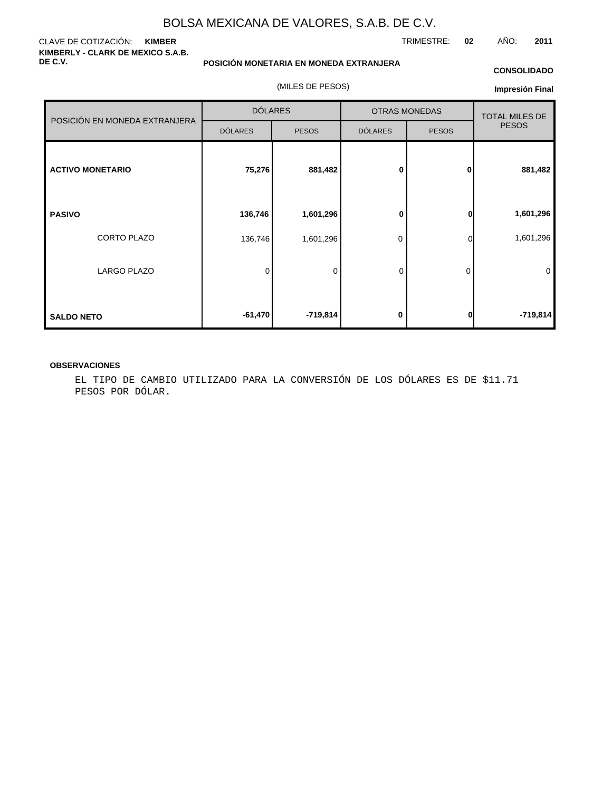#### CLAVE DE COTIZACIÓN: **KIMBER KIMBERLY - CLARK DE MEXICO S.A.B. DE C.V.**

**POSICIÓN MONETARIA EN MONEDA EXTRANJERA**

(MILES DE PESOS)

#### **CONSOLIDADO**

**Impresión Final**

|                               | <b>DÓLARES</b> |              | <b>OTRAS MONEDAS</b> | <b>TOTAL MILES DE</b> |              |
|-------------------------------|----------------|--------------|----------------------|-----------------------|--------------|
| POSICIÓN EN MONEDA EXTRANJERA | <b>DÓLARES</b> | <b>PESOS</b> | <b>DÓLARES</b>       | <b>PESOS</b>          | <b>PESOS</b> |
| <b>ACTIVO MONETARIO</b>       | 75,276         | 881,482      | $\bf{0}$             | $\mathbf{0}$          | 881,482      |
| <b>PASIVO</b>                 | 136,746        | 1,601,296    | 0                    | 0                     | 1,601,296    |
| CORTO PLAZO                   | 136,746        | 1,601,296    | 0                    | $\Omega$              | 1,601,296    |
| <b>LARGO PLAZO</b>            | 0              | 0            | $\mathbf 0$          | 0                     | $\mathbf 0$  |
| <b>SALDO NETO</b>             | $-61,470$      | $-719,814$   | 0                    | 0                     | $-719,814$   |

#### **OBSERVACIONES**

EL TIPO DE CAMBIO UTILIZADO PARA LA CONVERSIÓN DE LOS DÓLARES ES DE \$11.71 PESOS POR DÓLAR.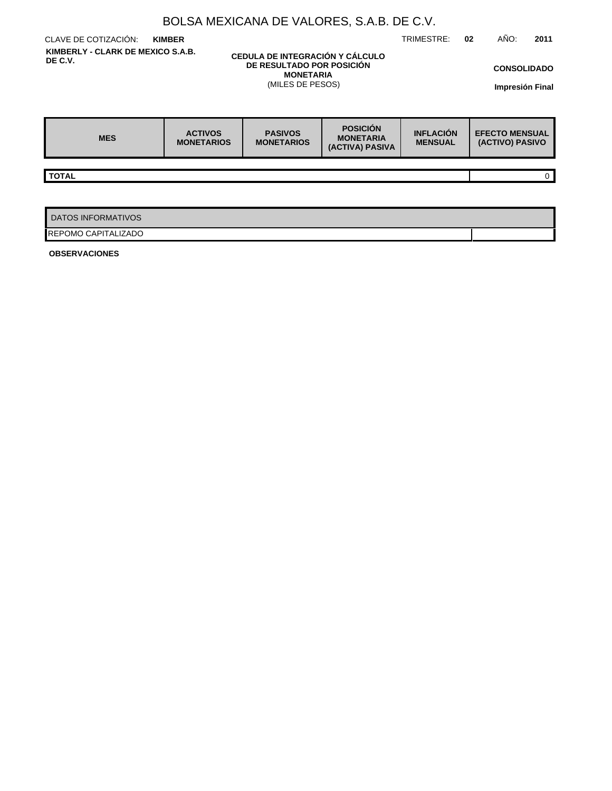|                                                                                                                                                      | BOLSA MEXICANA DE VALORES, S.A.B. DE C.V. |                                     |                                                        |                                    |    |                                          |                                              |
|------------------------------------------------------------------------------------------------------------------------------------------------------|-------------------------------------------|-------------------------------------|--------------------------------------------------------|------------------------------------|----|------------------------------------------|----------------------------------------------|
| CLAVE DE COTIZACIÓN:                                                                                                                                 | <b>KIMBER</b>                             |                                     |                                                        | TRIMESTRE:                         | 02 | AÑO:                                     | 2011                                         |
| KIMBERLY - CLARK DE MEXICO S.A.B.<br>CEDULA DE INTEGRACIÓN Y CÁLCULO<br>DE C.V.<br>DE RESULTADO POR POSICIÓN<br><b>MONETARIA</b><br>(MILES DE PESOS) |                                           |                                     |                                                        |                                    |    |                                          | <b>CONSOLIDADO</b><br><b>Impresión Final</b> |
| <b>MES</b>                                                                                                                                           | <b>ACTIVOS</b><br><b>MONETARIOS</b>       | <b>PASIVOS</b><br><b>MONETARIOS</b> | <b>POSICIÓN</b><br><b>MONETARIA</b><br>(ACTIVA) PASIVA | <b>INFLACIÓN</b><br><b>MENSUAL</b> |    | <b>EFECTO MENSUAL</b><br>(ACTIVO) PASIVO |                                              |
|                                                                                                                                                      |                                           |                                     |                                                        |                                    |    |                                          |                                              |
| <b>TOTAL</b>                                                                                                                                         |                                           |                                     |                                                        |                                    |    |                                          | 0 <sup>1</sup>                               |
|                                                                                                                                                      |                                           |                                     |                                                        |                                    |    |                                          |                                              |
| <b>DATOS INFORMATIVOS</b>                                                                                                                            |                                           |                                     |                                                        |                                    |    |                                          |                                              |
| REPOMO CAPITALIZADO                                                                                                                                  |                                           |                                     |                                                        |                                    |    |                                          |                                              |

**OBSERVACIONES**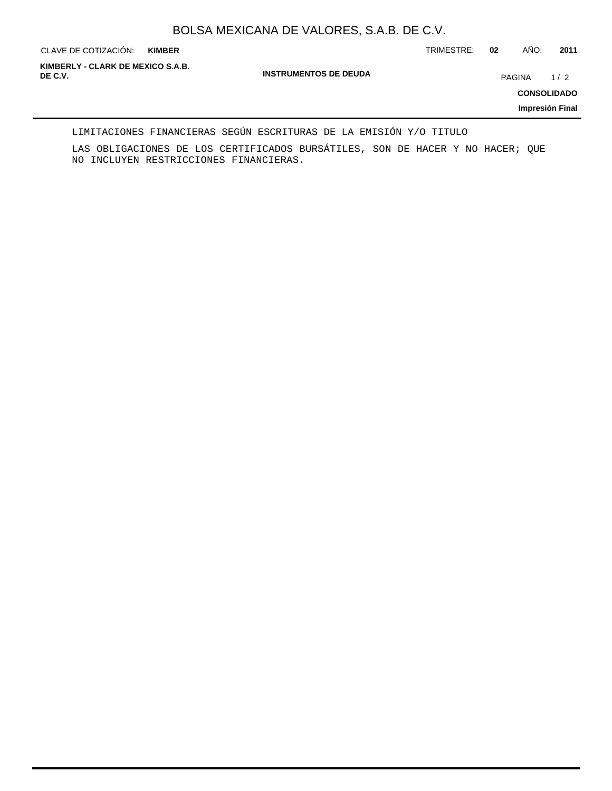**KIMBER**

CLAVE DE COTIZACIÓN: TRIMESTRE: **02** AÑO: **2011**

**INSTRUMENTOS DE DEUDA DE C.V.** PAGINA 1 / 2 **KIMBERLY - CLARK DE MEXICO S.A.B.**

**CONSOLIDADO**

**Impresión Final**

#### LIMITACIONES FINANCIERAS SEGÚN ESCRITURAS DE LA EMISIÓN Y/O TITULO

LAS OBLIGACIONES DE LOS CERTIFICADOS BURSÁTILES, SON DE HACER Y NO HACER; QUE NO INCLUYEN RESTRICCIONES FINANCIERAS.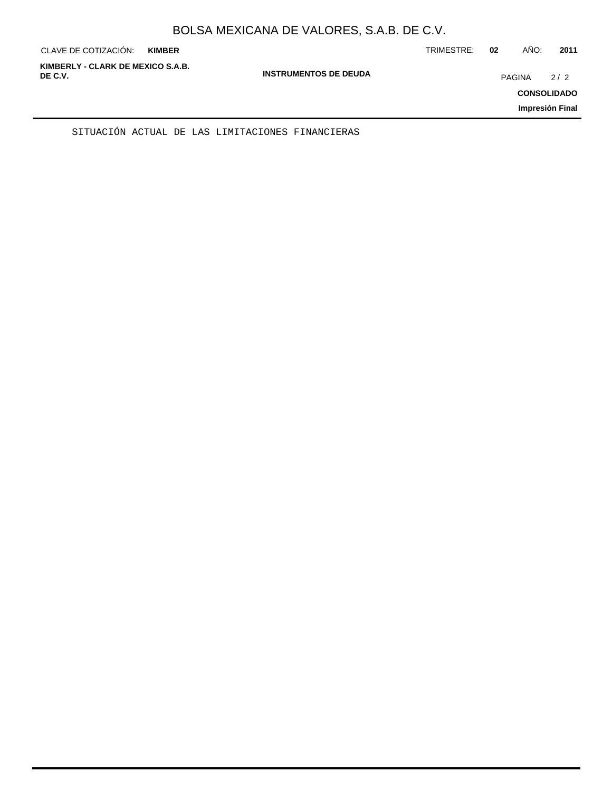| CLAVE DE COTIZACIÓN:                         | <b>KIMBER</b> |                              | TRIMESTRE: | 02            | AÑO: | 2011                                         |
|----------------------------------------------|---------------|------------------------------|------------|---------------|------|----------------------------------------------|
| KIMBERLY - CLARK DE MEXICO S.A.B.<br>DE C.V. |               | <b>INSTRUMENTOS DE DEUDA</b> |            | <b>PAGINA</b> |      | 2/2<br><b>CONSOLIDADO</b><br>Impresión Final |
|                                              |               |                              |            |               |      |                                              |

SITUACIÓN ACTUAL DE LAS LIMITACIONES FINANCIERAS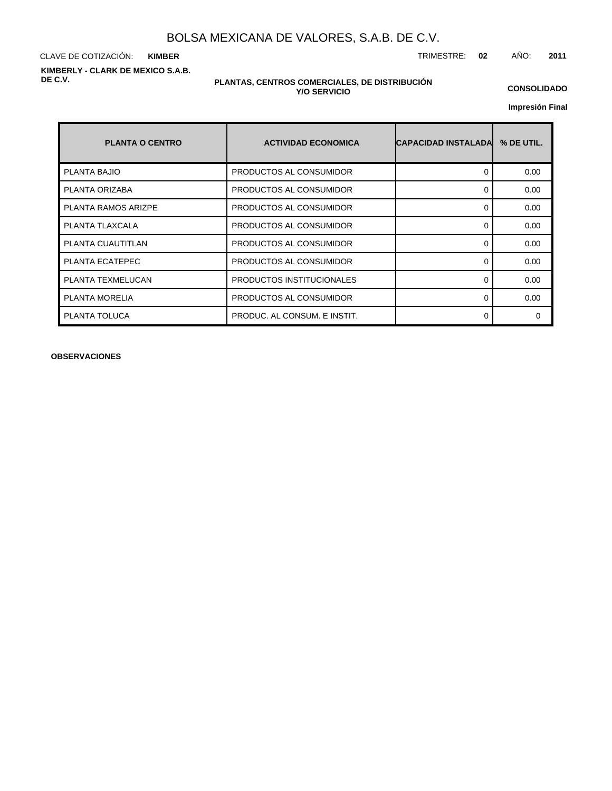CLAVE DE COTIZACIÓN: TRIMESTRE: **02** AÑO: **2011 KIMBER KIMBERLY - CLARK DE MEXICO S.A.B. DE C.V.**

#### **PLANTAS, CENTROS COMERCIALES, DE DISTRIBUCIÓN Y/O SERVICIO**

**CONSOLIDADO**

**Impresión Final**

| <b>PLANTA O CENTRO</b> | <b>ACTIVIDAD ECONOMICA</b>   | ICAPACIDAD INSTALADAI | % DE UTIL. |
|------------------------|------------------------------|-----------------------|------------|
| <b>PLANTA BAJIO</b>    | PRODUCTOS AL CONSUMIDOR      | 0                     | 0.00       |
| PLANTA ORIZABA         | PRODUCTOS AL CONSUMIDOR      | 0                     | 0.00       |
| PLANTA RAMOS ARIZPE    | PRODUCTOS AL CONSUMIDOR      | 0                     | 0.00       |
| PLANTA TLAXCALA        | PRODUCTOS AL CONSUMIDOR      | $\Omega$              | 0.00       |
| PLANTA CUAUTITLAN      | PRODUCTOS AL CONSUMIDOR      | 0                     | 0.00       |
| PLANTA ECATEPEC        | PRODUCTOS AL CONSUMIDOR      | $\Omega$              | 0.00       |
| PLANTA TEXMELUCAN      | PRODUCTOS INSTITUCIONALES    | $\Omega$              | 0.00       |
| <b>PLANTA MORELIA</b>  | PRODUCTOS AL CONSUMIDOR      | 0                     | 0.00       |
| PLANTA TOLUCA          | PRODUC. AL CONSUM. E INSTIT. | 0                     | $\Omega$   |

**OBSERVACIONES**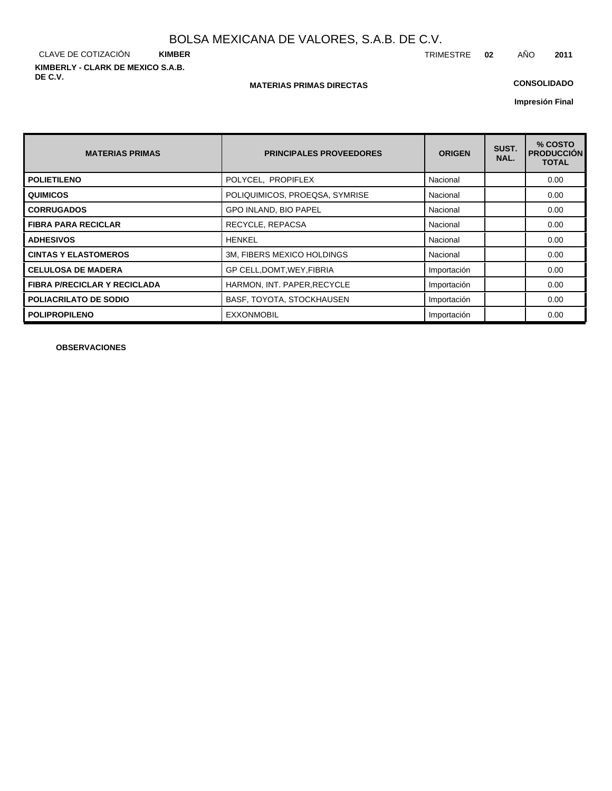CLAVE DE COTIZACIÓN **KIMBER KIMBERLY - CLARK DE MEXICO S.A.B. DE C.V.**

#### **MATERIAS PRIMAS DIRECTAS**

## **CONSOLIDADO**

**Impresión Final**

| <b>MATERIAS PRIMAS</b>              | <b>PRINCIPALES PROVEEDORES</b> | <b>ORIGEN</b> | SUST.<br>NAL. | % COSTO<br><b>PRODUCCION</b><br><b>TOTAL</b> |
|-------------------------------------|--------------------------------|---------------|---------------|----------------------------------------------|
| <b>POLIETILENO</b>                  | POLYCEL, PROPIFLEX             | Nacional      |               | 0.00                                         |
| <b>QUIMICOS</b>                     | POLIQUIMICOS, PROEQSA, SYMRISE | Nacional      |               | 0.00                                         |
| <b>CORRUGADOS</b>                   | <b>GPO INLAND, BIO PAPEL</b>   | Nacional      |               | 0.00                                         |
| <b>FIBRA PARA RECICLAR</b>          | RECYCLE, REPACSA               | Nacional      |               | 0.00                                         |
| <b>ADHESIVOS</b>                    | <b>HENKEL</b>                  | Nacional      |               | 0.00                                         |
| <b>CINTAS Y ELASTOMEROS</b>         | 3M, FIBERS MEXICO HOLDINGS     | Nacional      |               | 0.00                                         |
| <b>CELULOSA DE MADERA</b>           | GP CELL, DOMT, WEY, FIBRIA     | Importación   |               | 0.00                                         |
| <b>FIBRA P/RECICLAR Y RECICLADA</b> | HARMON, INT. PAPER, RECYCLE    | Importación   |               | 0.00                                         |
| POLIACRILATO DE SODIO               | BASF, TOYOTA, STOCKHAUSEN      | Importación   |               | 0.00                                         |
| <b>POLIPROPILENO</b>                | <b>EXXONMOBIL</b>              | Importación   |               | 0.00                                         |

**OBSERVACIONES**

TRIMESTRE **02** AÑO **2011**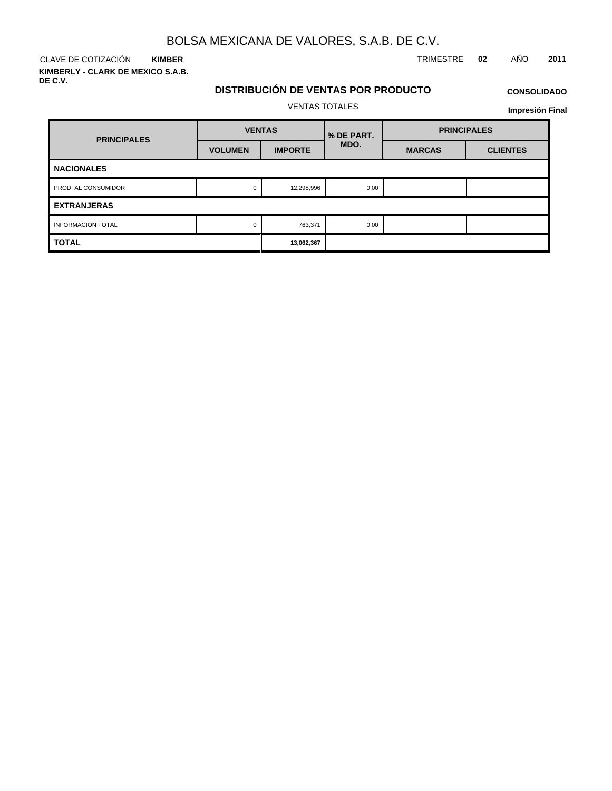VENTAS TOTALES

CLAVE DE COTIZACIÓN TRIMESTRE **02** AÑO **2011 KIMBER**

**KIMBERLY - CLARK DE MEXICO S.A.B. DE C.V.**

# **DISTRIBUCIÓN DE VENTAS POR PRODUCTO**

#### **CONSOLIDADO**

| <b>PRINCIPALES</b>       | <b>VENTAS</b>  |                | % DE PART. | <b>PRINCIPALES</b> |                 |  |
|--------------------------|----------------|----------------|------------|--------------------|-----------------|--|
|                          | <b>VOLUMEN</b> | <b>IMPORTE</b> | MDO.       | <b>MARCAS</b>      | <b>CLIENTES</b> |  |
| <b>NACIONALES</b>        |                |                |            |                    |                 |  |
| PROD. AL CONSUMIDOR      | 0              | 12,298,996     | 0.00       |                    |                 |  |
| <b>EXTRANJERAS</b>       |                |                |            |                    |                 |  |
| <b>INFORMACION TOTAL</b> | $\Omega$       | 763,371        | 0.00       |                    |                 |  |
| <b>TOTAL</b>             |                | 13,062,367     |            |                    |                 |  |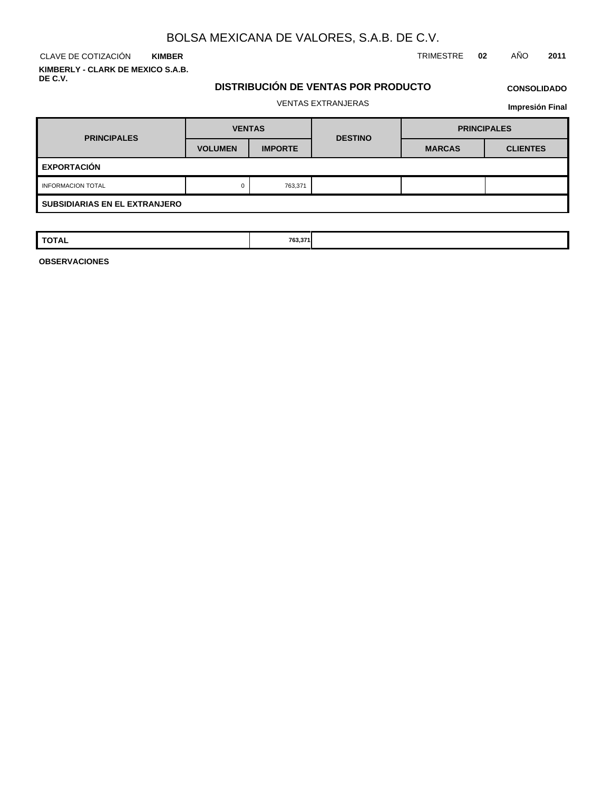CLAVE DE COTIZACIÓN TRIMESTRE **02** AÑO **2011 KIMBER KIMBERLY - CLARK DE MEXICO S.A.B.**

**DE C.V.**

### **DISTRIBUCIÓN DE VENTAS POR PRODUCTO**

## **CONSOLIDADO**

#### VENTAS EXTRANJERAS

**Impresión Final**

| <b>PRINCIPALES</b>                   | <b>VENTAS</b>  |                | <b>DESTINO</b> | <b>PRINCIPALES</b> |                 |  |  |  |
|--------------------------------------|----------------|----------------|----------------|--------------------|-----------------|--|--|--|
|                                      | <b>VOLUMEN</b> | <b>IMPORTE</b> |                | <b>MARCAS</b>      | <b>CLIENTES</b> |  |  |  |
| <b>EXPORTACIÓN</b>                   |                |                |                |                    |                 |  |  |  |
| <b>INFORMACION TOTAL</b>             | 0              | 763,371        |                |                    |                 |  |  |  |
| <b>SUBSIDIARIAS EN EL EXTRANJERO</b> |                |                |                |                    |                 |  |  |  |

| <b>TOTAL</b> | 763,371 |  |  |
|--------------|---------|--|--|
|              |         |  |  |
|              |         |  |  |

**OBSERVACIONES**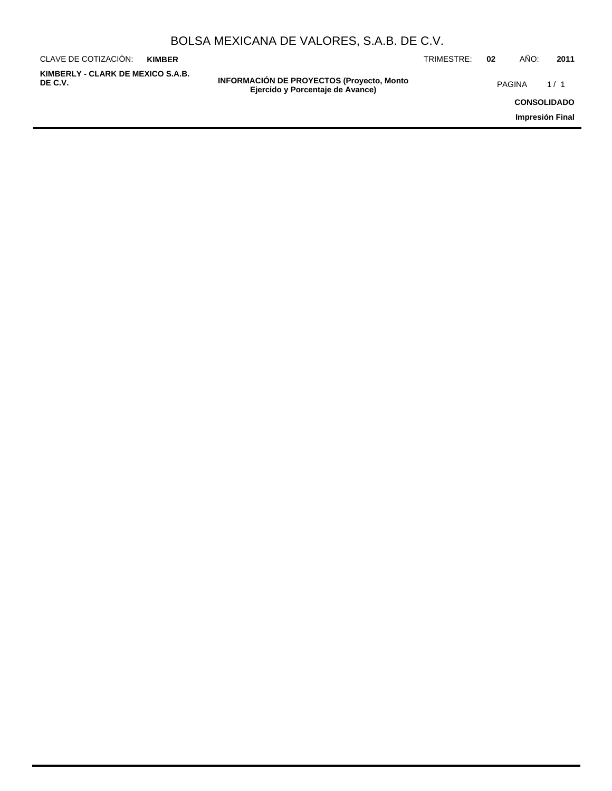| BOLSA MEXICANA DE VALORES, S.A.B. DE C.V. |  |  |  |
|-------------------------------------------|--|--|--|
|-------------------------------------------|--|--|--|

| CLAVE DE COTIZACIÓN:                         | <b>KIMBER</b> |                                                                                       | TRIMESTRE: | 02 | AÑO:               | 2011            |
|----------------------------------------------|---------------|---------------------------------------------------------------------------------------|------------|----|--------------------|-----------------|
| KIMBERLY - CLARK DE MEXICO S.A.B.<br>DE C.V. |               | <b>INFORMACIÓN DE PROYECTOS (Proyecto, Monto)</b><br>Ejercido y Porcentaje de Avance) |            |    | PAGINA             | 1/1             |
|                                              |               |                                                                                       |            |    | <b>CONSOLIDADO</b> |                 |
|                                              |               |                                                                                       |            |    |                    | Impresión Final |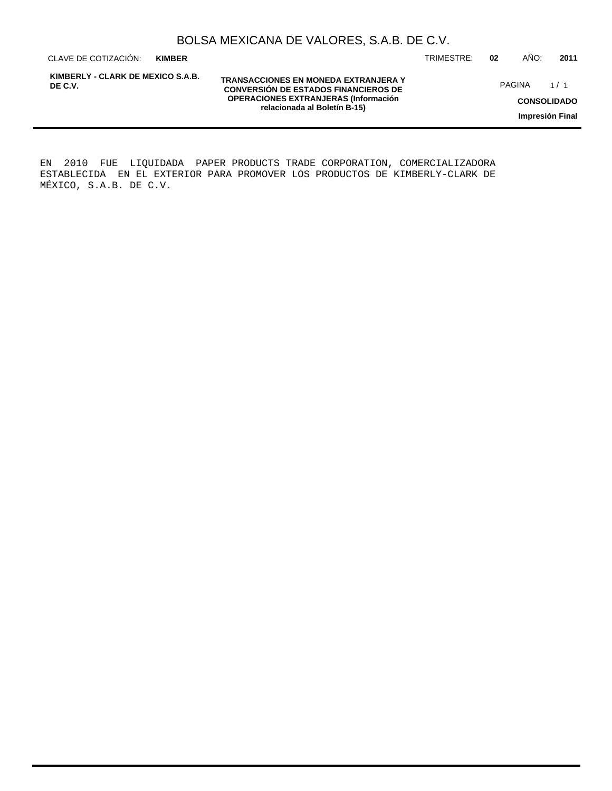**KIMBER**

**KIMBERLY - CLARK DE MEXICO S.A.B. DE C.V.**

**TRANSACCIONES EN MONEDA EXTRANJERA Y CONVERSIÓN DE ESTADOS FINANCIEROS DE OPERACIONES EXTRANJERAS (Información relacionada al Boletín B-15)**

CLAVE DE COTIZACIÓN: TRIMESTRE: **02** AÑO: **2011**

PAGINA 1/1

**CONSOLIDADO**

**Impresión Final**

EN 2010 FUE LIQUIDADA PAPER PRODUCTS TRADE CORPORATION, COMERCIALIZADORA ESTABLECIDA EN EL EXTERIOR PARA PROMOVER LOS PRODUCTOS DE KIMBERLY-CLARK DE MÉXICO, S.A.B. DE C.V.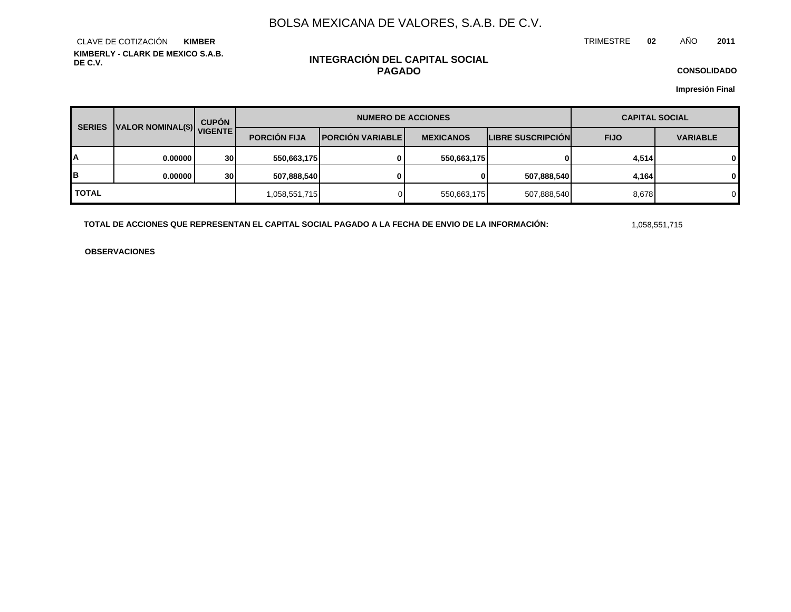TRIMESTRE **02** AÑO **2011**

**KIMBERLY - CLARK DE MEXICO S.A.B. DE C.V.** CLAVE DE COTIZACIÓN **KIMBER**

### **INTEGRACIÓN DEL CAPITAL SOCIAL PAGADO**

**CONSOLIDADO**

**Impresión Final**

| VALOR NOMINAL(\$) VIGENTE<br><b>SERIES</b> |         | <b>CUPÓN</b>    | <b>NUMERO DE ACCIONES</b> |                         |                  |                          | <b>CAPITAL SOCIAL</b> |                 |  |
|--------------------------------------------|---------|-----------------|---------------------------|-------------------------|------------------|--------------------------|-----------------------|-----------------|--|
|                                            |         |                 | <b>PORCIÓN FIJA</b>       | <b>PORCIÓN VARIABLE</b> | <b>MEXICANOS</b> | <b>LIBRE SUSCRIPCION</b> | <b>FIJO</b>           | <b>VARIABLE</b> |  |
| А                                          | 0.00000 | 30 <sup>1</sup> | 550,663,175               | 0                       | 550,663,175      | 01                       | 4,514                 | 0               |  |
| в                                          | 0.00000 | 30 <sub>l</sub> | 507,888,540               |                         | 0                | 507,888,540              | 4,164                 | 0               |  |
| <b>TOTAL</b>                               |         |                 | 1,058,551,715             |                         | 550,663,175      | 507,888,540              | 8,678                 | 0               |  |

**TOTAL DE ACCIONES QUE REPRESENTAN EL CAPITAL SOCIAL PAGADO A LA FECHA DE ENVIO DE LA INFORMACIÓN:** 1,058,551,715

**OBSERVACIONES**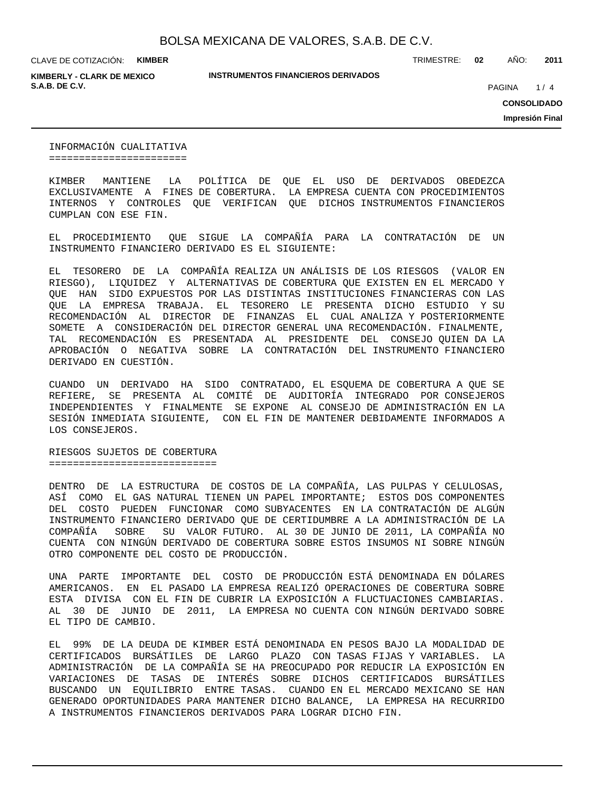**KIMBERLY - CLARK DE MEXICO S.A.B. DE C.V. PAGINA 1999** 

**INSTRUMENTOS FINANCIEROS DERIVADOS**

TRIMESTRE: **02** AÑO: **2011**

 $1/4$ 

**CONSOLIDADO**

**Impresión Final**

INFORMACIÓN CUALITATIVA =======================

KIMBER MANTIENE LA POLÍTICA DE QUE EL USO DE DERIVADOS OBEDEZCA EXCLUSIVAMENTE A FINES DE COBERTURA. LA EMPRESA CUENTA CON PROCEDIMIENTOS INTERNOS Y CONTROLES QUE VERIFICAN QUE DICHOS INSTRUMENTOS FINANCIEROS CUMPLAN CON ESE FIN.

EL PROCEDIMIENTO QUE SIGUE LA COMPAÑÍA PARA LA CONTRATACIÓN DE UN INSTRUMENTO FINANCIERO DERIVADO ES EL SIGUIENTE:

EL TESORERO DE LA COMPAÑÍA REALIZA UN ANÁLISIS DE LOS RIESGOS (VALOR EN RIESGO), LIQUIDEZ Y ALTERNATIVAS DE COBERTURA QUE EXISTEN EN EL MERCADO Y QUE HAN SIDO EXPUESTOS POR LAS DISTINTAS INSTITUCIONES FINANCIERAS CON LAS QUE LA EMPRESA TRABAJA. EL TESORERO LE PRESENTA DICHO ESTUDIO Y SU RECOMENDACIÓN AL DIRECTOR DE FINANZAS EL CUAL ANALIZA Y POSTERIORMENTE SOMETE A CONSIDERACIÓN DEL DIRECTOR GENERAL UNA RECOMENDACIÓN. FINALMENTE, TAL RECOMENDACIÓN ES PRESENTADA AL PRESIDENTE DEL CONSEJO QUIEN DA LA APROBACIÓN O NEGATIVA SOBRE LA CONTRATACIÓN DEL INSTRUMENTO FINANCIERO DERIVADO EN CUESTIÓN.

CUANDO UN DERIVADO HA SIDO CONTRATADO, EL ESQUEMA DE COBERTURA A QUE SE REFIERE, SE PRESENTA AL COMITÉ DE AUDITORÍA INTEGRADO POR CONSEJEROS INDEPENDIENTES Y FINALMENTE SE EXPONE AL CONSEJO DE ADMINISTRACIÓN EN LA SESIÓN INMEDIATA SIGUIENTE, CON EL FIN DE MANTENER DEBIDAMENTE INFORMADOS A LOS CONSEJEROS.

RIESGOS SUJETOS DE COBERTURA ============================

DENTRO DE LA ESTRUCTURA DE COSTOS DE LA COMPAÑÍA, LAS PULPAS Y CELULOSAS, ASÍ COMO EL GAS NATURAL TIENEN UN PAPEL IMPORTANTE; ESTOS DOS COMPONENTES DEL COSTO PUEDEN FUNCIONAR COMO SUBYACENTES EN LA CONTRATACIÓN DE ALGÚN INSTRUMENTO FINANCIERO DERIVADO QUE DE CERTIDUMBRE A LA ADMINISTRACIÓN DE LA COMPAÑÍA SOBRE SU VALOR FUTURO. AL 30 DE JUNIO DE 2011, LA COMPAÑÍA NO CUENTA CON NINGÚN DERIVADO DE COBERTURA SOBRE ESTOS INSUMOS NI SOBRE NINGÚN OTRO COMPONENTE DEL COSTO DE PRODUCCIÓN.

UNA PARTE IMPORTANTE DEL COSTO DE PRODUCCIÓN ESTÁ DENOMINADA EN DÓLARES AMERICANOS. EN EL PASADO LA EMPRESA REALIZÓ OPERACIONES DE COBERTURA SOBRE ESTA DIVISA CON EL FIN DE CUBRIR LA EXPOSICIÓN A FLUCTUACIONES CAMBIARIAS. AL 30 DE JUNIO DE 2011, LA EMPRESA NO CUENTA CON NINGÚN DERIVADO SOBRE EL TIPO DE CAMBIO.

EL 99% DE LA DEUDA DE KIMBER ESTÁ DENOMINADA EN PESOS BAJO LA MODALIDAD DE CERTIFICADOS BURSÁTILES DE LARGO PLAZO CON TASAS FIJAS Y VARIABLES. LA ADMINISTRACIÓN DE LA COMPAÑÍA SE HA PREOCUPADO POR REDUCIR LA EXPOSICIÓN EN VARIACIONES DE TASAS DE INTERÉS SOBRE DICHOS CERTIFICADOS BURSÁTILES BUSCANDO UN EQUILIBRIO ENTRE TASAS. CUANDO EN EL MERCADO MEXICANO SE HAN GENERADO OPORTUNIDADES PARA MANTENER DICHO BALANCE, LA EMPRESA HA RECURRIDO A INSTRUMENTOS FINANCIEROS DERIVADOS PARA LOGRAR DICHO FIN.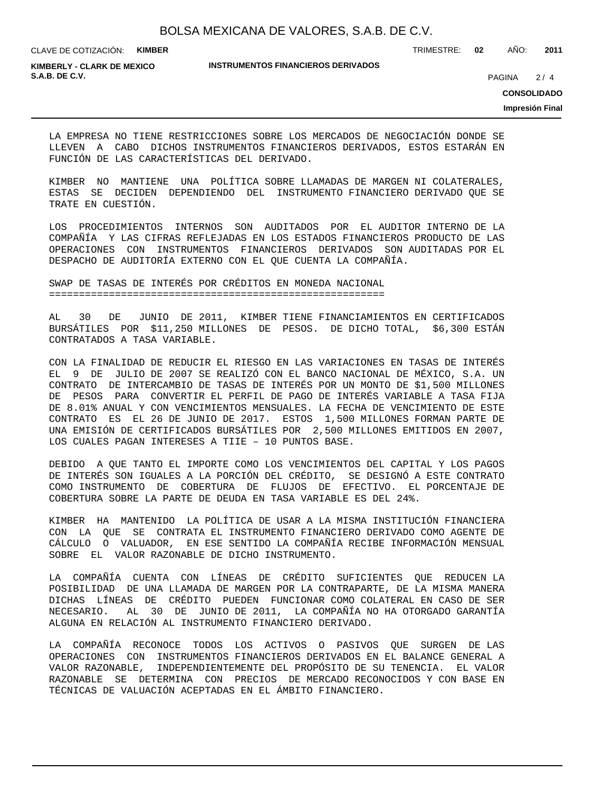TRIMESTRE: **02** AÑO: **2011**

**KIMBERLY - CLARK DE MEXICO S.A.B. DE C.V.** 2/4

#### **INSTRUMENTOS FINANCIEROS DERIVADOS**

 $2/4$ 

**CONSOLIDADO**

**Impresión Final**

LA EMPRESA NO TIENE RESTRICCIONES SOBRE LOS MERCADOS DE NEGOCIACIÓN DONDE SE LLEVEN A CABO DICHOS INSTRUMENTOS FINANCIEROS DERIVADOS, ESTOS ESTARÁN EN FUNCIÓN DE LAS CARACTERÍSTICAS DEL DERIVADO.

KIMBER NO MANTIENE UNA POLÍTICA SOBRE LLAMADAS DE MARGEN NI COLATERALES, ESTAS SE DECIDEN DEPENDIENDO DEL INSTRUMENTO FINANCIERO DERIVADO QUE SE TRATE EN CUESTIÓN.

LOS PROCEDIMIENTOS INTERNOS SON AUDITADOS POR EL AUDITOR INTERNO DE LA COMPAÑÍA Y LAS CIFRAS REFLEJADAS EN LOS ESTADOS FINANCIEROS PRODUCTO DE LAS OPERACIONES CON INSTRUMENTOS FINANCIEROS DERIVADOS SON AUDITADAS POR EL DESPACHO DE AUDITORÍA EXTERNO CON EL QUE CUENTA LA COMPAÑÍA.

SWAP DE TASAS DE INTERÉS POR CRÉDITOS EN MONEDA NACIONAL ========================================================

AL 30 DE JUNIO DE 2011, KIMBER TIENE FINANCIAMIENTOS EN CERTIFICADOS BURSÁTILES POR \$11,250 MILLONES DE PESOS. DE DICHO TOTAL, \$6,300 ESTÁN CONTRATADOS A TASA VARIABLE.

CON LA FINALIDAD DE REDUCIR EL RIESGO EN LAS VARIACIONES EN TASAS DE INTERÉS EL 9 DE JULIO DE 2007 SE REALIZÓ CON EL BANCO NACIONAL DE MÉXICO, S.A. UN CONTRATO DE INTERCAMBIO DE TASAS DE INTERÉS POR UN MONTO DE \$1,500 MILLONES DE PESOS PARA CONVERTIR EL PERFIL DE PAGO DE INTERÉS VARIABLE A TASA FIJA DE 8.01% ANUAL Y CON VENCIMIENTOS MENSUALES. LA FECHA DE VENCIMIENTO DE ESTE CONTRATO ES EL 26 DE JUNIO DE 2017. ESTOS 1,500 MILLONES FORMAN PARTE DE UNA EMISIÓN DE CERTIFICADOS BURSÁTILES POR 2,500 MILLONES EMITIDOS EN 2007, LOS CUALES PAGAN INTERESES A TIIE – 10 PUNTOS BASE.

DEBIDO A QUE TANTO EL IMPORTE COMO LOS VENCIMIENTOS DEL CAPITAL Y LOS PAGOS DE INTERÉS SON IGUALES A LA PORCIÓN DEL CRÉDITO, SE DESIGNÓ A ESTE CONTRATO COMO INSTRUMENTO DE COBERTURA DE FLUJOS DE EFECTIVO. EL PORCENTAJE DE COBERTURA SOBRE LA PARTE DE DEUDA EN TASA VARIABLE ES DEL 24%.

KIMBER HA MANTENIDO LA POLÍTICA DE USAR A LA MISMA INSTITUCIÓN FINANCIERA CON LA QUE SE CONTRATA EL INSTRUMENTO FINANCIERO DERIVADO COMO AGENTE DE CÁLCULO O VALUADOR, EN ESE SENTIDO LA COMPAÑÍA RECIBE INFORMACIÓN MENSUAL SOBRE EL VALOR RAZONABLE DE DICHO INSTRUMENTO.

LA COMPAÑÍA CUENTA CON LÍNEAS DE CRÉDITO SUFICIENTES QUE REDUCEN LA POSIBILIDAD DE UNA LLAMADA DE MARGEN POR LA CONTRAPARTE, DE LA MISMA MANERA DICHAS LÍNEAS DE CRÉDITO PUEDEN FUNCIONAR COMO COLATERAL EN CASO DE SER NECESARIO. AL 30 DE JUNIO DE 2011, LA COMPAÑÍA NO HA OTORGADO GARANTÍA ALGUNA EN RELACIÓN AL INSTRUMENTO FINANCIERO DERIVADO.

LA COMPAÑÍA RECONOCE TODOS LOS ACTIVOS O PASIVOS QUE SURGEN DE LAS OPERACIONES CON INSTRUMENTOS FINANCIEROS DERIVADOS EN EL BALANCE GENERAL A VALOR RAZONABLE, INDEPENDIENTEMENTE DEL PROPÓSITO DE SU TENENCIA. EL VALOR RAZONABLE SE DETERMINA CON PRECIOS DE MERCADO RECONOCIDOS Y CON BASE EN TÉCNICAS DE VALUACIÓN ACEPTADAS EN EL ÁMBITO FINANCIERO.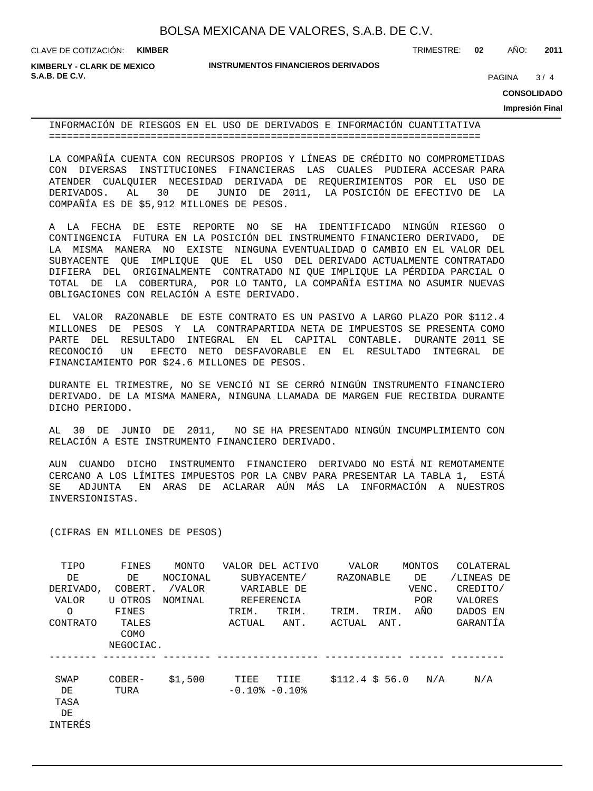**KIMBERLY - CLARK DE MEXICO S.A.B. DE C.V.** 2004 **PAGINA 2006** 2006 **PAGINA** 2006 2007 **PAGINA** 2006 2007 **PAGINA** 2007 2008 2014

**INSTRUMENTOS FINANCIEROS DERIVADOS**

TRIMESTRE: **02** AÑO: **2011**

 $3/4$ 

**CONSOLIDADO**

**Impresión Final**

INFORMACIÓN DE RIESGOS EN EL USO DE DERIVADOS E INFORMACIÓN CUANTITATIVA ========================================================================

LA COMPAÑÍA CUENTA CON RECURSOS PROPIOS Y LÍNEAS DE CRÉDITO NO COMPROMETIDAS CON DIVERSAS INSTITUCIONES FINANCIERAS LAS CUALES PUDIERA ACCESAR PARA ATENDER CUALQUIER NECESIDAD DERIVADA DE REQUERIMIENTOS POR EL USO DE DERIVADOS. AL 30 DE JUNIO DE 2011, LA POSICIÓN DE EFECTIVO DE LA COMPAÑÍA ES DE \$5,912 MILLONES DE PESOS.

A LA FECHA DE ESTE REPORTE NO SE HA IDENTIFICADO NINGÚN RIESGO O CONTINGENCIA FUTURA EN LA POSICIÓN DEL INSTRUMENTO FINANCIERO DERIVADO, DE LA MISMA MANERA NO EXISTE NINGUNA EVENTUALIDAD O CAMBIO EN EL VALOR DEL SUBYACENTE QUE IMPLIQUE QUE EL USO DEL DERIVADO ACTUALMENTE CONTRATADO DIFIERA DEL ORIGINALMENTE CONTRATADO NI QUE IMPLIQUE LA PÉRDIDA PARCIAL O TOTAL DE LA COBERTURA, POR LO TANTO, LA COMPAÑÍA ESTIMA NO ASUMIR NUEVAS OBLIGACIONES CON RELACIÓN A ESTE DERIVADO.

EL VALOR RAZONABLE DE ESTE CONTRATO ES UN PASIVO A LARGO PLAZO POR \$112.4 MILLONES DE PESOS Y LA CONTRAPARTIDA NETA DE IMPUESTOS SE PRESENTA COMO PARTE DEL RESULTADO INTEGRAL EN EL CAPITAL CONTABLE. DURANTE 2011 SE RECONOCIÓ UN EFECTO NETO DESFAVORABLE EN EL RESULTADO INTEGRAL DE FINANCIAMIENTO POR \$24.6 MILLONES DE PESOS.

DURANTE EL TRIMESTRE, NO SE VENCIÓ NI SE CERRÓ NINGÚN INSTRUMENTO FINANCIERO DERIVADO. DE LA MISMA MANERA, NINGUNA LLAMADA DE MARGEN FUE RECIBIDA DURANTE DICHO PERIODO.

AL 30 DE JUNIO DE 2011, NO SE HA PRESENTADO NINGÚN INCUMPLIMIENTO CON RELACIÓN A ESTE INSTRUMENTO FINANCIERO DERIVADO.

AUN CUANDO DICHO INSTRUMENTO FINANCIERO DERIVADO NO ESTÁ NI REMOTAMENTE CERCANO A LOS LÍMITES IMPUESTOS POR LA CNBV PARA PRESENTAR LA TABLA 1, ESTÁ SE ADJUNTA EN ARAS DE ACLARAR AÚN MÁS LA INFORMACIÓN A NUESTROS INVERSIONISTAS.

(CIFRAS EN MILLONES DE PESOS)

| TIPO      | FINES     | MONTO    |                     | VALOR DEL ACTIVO | VALOR           |       | MONTOS     | COLATERAL  |
|-----------|-----------|----------|---------------------|------------------|-----------------|-------|------------|------------|
| DE        | DE        | NOCIONAL | SUBYACENTE/         |                  | RAZONABLE       |       | DE         | /LINEAS DE |
| DERIVADO, | COBERT.   | /VALOR   | VARIABLE DE         |                  |                 |       | VENC.      | CREDITO/   |
| VALOR     | U OTROS   | NOMINAL  | REFERENCIA          |                  |                 |       | <b>POR</b> | VALORES    |
| $\Omega$  | FINES     |          | TRIM.               | TRIM.            | TRIM.           | TRIM. | AÑO        | DADOS EN   |
| CONTRATO  | TALES     |          | ACTUAL              | ANT.             | ACTUAL          | ANT.  |            | GARANTÍA   |
|           | COMO      |          |                     |                  |                 |       |            |            |
|           | NEGOCIAC. |          |                     |                  |                 |       |            |            |
|           |           |          |                     |                  |                 |       |            |            |
| SWAP      | COBER-    | \$1,500  | TIEE                | TIIE             | $$112.4 \$56.0$ |       | N/A        | N/A        |
| DE        | TURA      |          | $-0.10$ % $-0.10$ % |                  |                 |       |            |            |
| TASA      |           |          |                     |                  |                 |       |            |            |
| DE        |           |          |                     |                  |                 |       |            |            |
| INTERÉS   |           |          |                     |                  |                 |       |            |            |